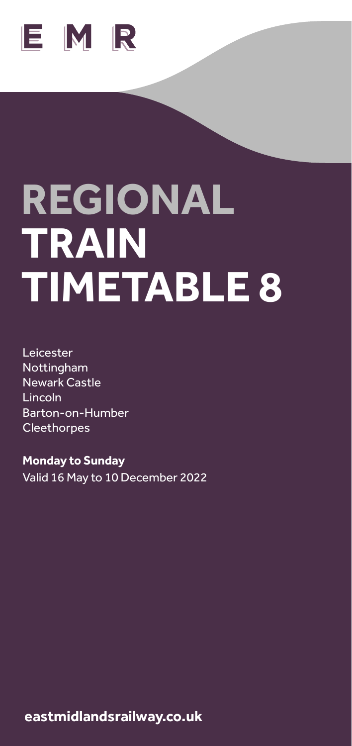

# **REGIONAL TRAIN TIMETABLE 8**

Leicester Nottingham Newark Castle Lincoln Barton-on-Humber **Cleethorpes** 

**Monday to Sunday** Valid 16 May to 10 December 2022

y. k **eastmidlandsrailway.co.uk**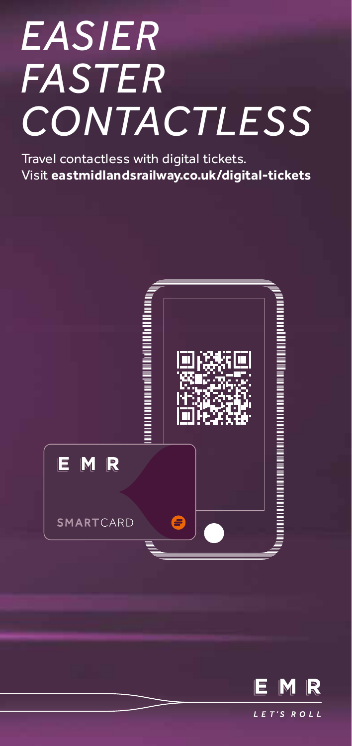# *EASIER FASTER CONTACTLESS*

Travel contactless with digital tickets. Visit **eastmidlandsrailway.co.uk/digital-tickets**



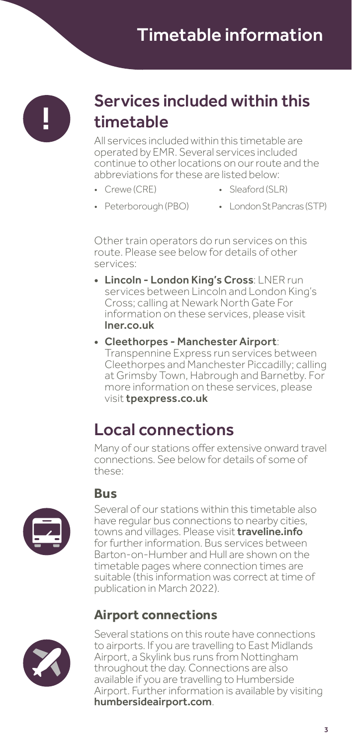

#### Services included within this timetable

All services included within this timetable are operated by EMR. Several services included continue to other locations on our route and the abbreviations for these are listed below:

- Crewe (CRE)
- Sleaford (SLR)
- Peterborough (PBO)
- London St Pancras (STP)

Other train operators do run services on this route. Please see below for details of other services:

- Lincoln London King's Cross: LNER run services between Lincoln and London King's Cross; calling at Newark North Gate For information on these services, please visit lner.co.uk
- Cleethorpes Manchester Airport: Transpennine Express run services between Cleethorpes and Manchester Piccadilly; calling at Grimsby Town, Habrough and Barnetby. For more information on these services, please visit tpexpress.co.uk

#### Local connections

Many of our stations offer extensive onward travel connections. See below for details of some of these:



#### **Bus**

Several of our stations within this timetable also have regular bus connections to nearby cities, towns and villages. Please visit **traveline.info** for further information. Bus services between Barton-on-Humber and Hull are shown on the timetable pages where connection times are suitable (this information was correct at time of publication in March 2022).

#### **Airport connections**



Several stations on this route have connections to airports. If you are travelling to East Midlands Airport, a Skylink bus runs from Nottingham throughout the day. Connections are also available if you are travelling to Humberside Airport. Further information is available by visiting humbersideairport.com.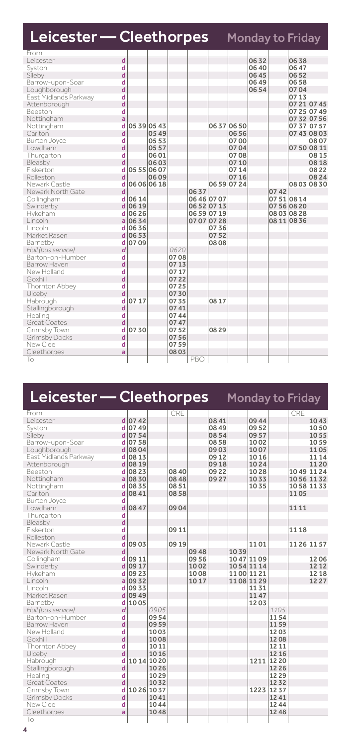| Leicester — Cleethorpes              |           |             |       |      |             |             | <b>Monday to Friday</b> |      |             |             |
|--------------------------------------|-----------|-------------|-------|------|-------------|-------------|-------------------------|------|-------------|-------------|
| From                                 |           |             |       |      |             |             |                         |      |             |             |
| Leicester<br>$\overline{\mathsf{d}}$ |           |             |       |      |             |             | 0632                    |      | 0638        |             |
| d<br>Syston                          |           |             |       |      |             |             | 06 40                   |      | 06 47       |             |
| d<br>Sileby                          |           |             |       |      |             |             | 06 45                   |      | 0652        |             |
| Barrow-upon-Soar<br>d                |           |             |       |      |             |             | 06 49                   |      | 0658        |             |
| d<br>Loughborough                    |           |             |       |      |             |             | 0654                    |      | 0704        |             |
| d<br>East Midlands Parkway           |           |             |       |      |             |             |                         |      | 0713        |             |
| d<br>Attenborough                    |           |             |       |      |             |             |                         |      |             | 07 21 07 45 |
| Beeston<br>d                         |           |             |       |      |             |             |                         |      |             | 07 25 07 49 |
| a<br>Nottingham                      |           |             |       |      |             |             |                         |      |             | 07 32 07 56 |
| d<br>Nottingham                      |           | 05 39 05 43 |       |      |             | 06370650    |                         |      |             | 07 37 07 57 |
| d<br>Carlton                         |           | 0549        |       |      |             | 0656        |                         |      |             | 07 43 08 03 |
| Burton Joyce<br>d                    |           | 0553        |       |      |             | 0700        |                         |      |             | 0807        |
| d<br>Lowdham                         |           | 0557        |       |      |             | 0704        |                         |      |             | 07 50 08 11 |
| d<br>Thurgarton                      |           | 0601        |       |      |             | 0708        |                         |      |             | 0815        |
| d<br>Bleasby                         |           | 0603        |       |      |             | 0710        |                         |      |             | 0818        |
| Fiskerton<br>d                       |           | 05 55 06 07 |       |      |             | 0714        |                         |      |             | 0822        |
| Rolleston<br>d                       |           | 0609        |       |      |             | 0716        |                         |      |             | 0824        |
| Newark Castle<br>d                   |           | 06 06 06 18 |       |      |             | 06 59 07 24 |                         |      |             | 08030830    |
| d<br>Newark North Gate               |           |             |       | 0637 |             |             |                         | 0742 |             |             |
| d<br>Collingham                      | 06 14     |             |       |      | 06 46 07 07 |             |                         |      | 07 51 08 14 |             |
| Swinderby                            | $d$ 06 19 |             |       |      | 06 52 07 13 |             |                         |      | 07 56 08 20 |             |
| Hykeham                              | $d$ 06 26 |             |       |      | 06 59 07 19 |             |                         |      | 08 03 08 28 |             |
| Lincoln<br>a                         | 0634      |             |       |      | 07 07 07 28 |             |                         |      | 08 11 08 36 |             |
| Lincoln                              | d 0636    |             |       |      | 0736        |             |                         |      |             |             |
| Market Rasen                         | 0653      |             |       |      | 0752        |             |                         |      |             |             |
| Barnetby                             | 0709<br>d |             |       |      | 0808        |             |                         |      |             |             |
| Hull (bus service)<br>d              |           |             | 0620  |      |             |             |                         |      |             |             |
| Barton-on-Humber<br>d                |           |             | 0708  |      |             |             |                         |      |             |             |
| d<br><b>Barrow Haven</b>             |           |             | 0713  |      |             |             |                         |      |             |             |
| d<br>New Holland                     |           |             | 07 17 |      |             |             |                         |      |             |             |
| d<br>Goxhill                         |           |             | 07 22 |      |             |             |                         |      |             |             |
| d<br>Thornton Abbey                  |           |             | 0725  |      |             |             |                         |      |             |             |
| d<br>Ulceby                          |           |             | 0730  |      |             |             |                         |      |             |             |
| d<br>Habrough                        | 0717      |             | 0735  |      | 08 17       |             |                         |      |             |             |
| d<br>Stallingborough                 |           |             | 0741  |      |             |             |                         |      |             |             |
| Healing<br>d                         |           |             | 0744  |      |             |             |                         |      |             |             |
| d<br>Great Coates                    |           |             | 0747  |      |             |             |                         |      |             |             |
|                                      |           |             |       |      |             |             |                         |      |             |             |
| Grimsby Town<br>d                    | 0730      |             | 0752  |      | 08 29       |             |                         |      |             |             |
| d<br><b>Grimsby Docks</b>            |           |             | 0756  |      |             |             |                         |      |             |             |
| New Clee<br>d                        |           |             | 0759  |      |             |             |                         |      |             |             |
| Cleethorpes<br>a                     |           |             | 08 03 |      |             |             |                         |      |             |             |
| To                                   |           |             |       | PBO  |             |             |                         |      |             |             |

| Leicester — Cleethorpes |                |             |       |       |       |       | Monday to Friday |       |       |       |             |
|-------------------------|----------------|-------------|-------|-------|-------|-------|------------------|-------|-------|-------|-------------|
| From                    |                |             |       | CRE   |       |       |                  |       |       | CRE   |             |
| Leicester               |                | $d$ 0742    |       |       |       | 0841  |                  | 09 44 |       |       | 1043        |
| Syston                  |                | d 0749      |       |       |       | 08 49 |                  | 0952  |       |       | 1050        |
| Sileby                  |                | d 07 54     |       |       |       | 0854  |                  | 09 57 |       |       | 1055        |
| Barrow-upon-Soar        |                | d 07 58     |       |       |       | 0858  |                  | 1002  |       |       | 1059        |
| Loughborough            |                | $d$ 08 04   |       |       |       | 0903  |                  | 1007  |       |       | 1105        |
| East Midlands Parkway   |                | d 08 13     |       |       |       | 09 12 |                  | 1016  |       |       | 11 14       |
| Attenborough            |                | $d$ 08 19   |       |       |       | 0918  |                  | 1024  |       |       | 11 20       |
| Beeston                 | d              | 0823        |       | 08 40 |       | 09 22 |                  | 1028  |       |       | 10 49 11 24 |
| Nottingham              |                | $a$ 0830    |       | 08 48 |       | 0927  |                  | 1033  |       |       | 1056 1132   |
| Nottingham              | d              | 0835        |       | 0851  |       |       |                  | 1035  |       |       | 1058 1133   |
| Carlton                 |                | $d$ 0841    |       | 0858  |       |       |                  |       |       | 1105  |             |
| <b>Burton Joyce</b>     | d              |             |       |       |       |       |                  |       |       |       |             |
| Lowdham                 | d              | 08 47       |       | 0904  |       |       |                  |       |       | 11 11 |             |
| Thurgarton              | d              |             |       |       |       |       |                  |       |       |       |             |
| Bleasby                 | d              |             |       |       |       |       |                  |       |       |       |             |
| Fiskerton               | d              |             |       | 09 11 |       |       |                  |       |       | 11 18 |             |
| Rolleston               | d              |             |       |       |       |       |                  |       |       |       |             |
| Newark Castle           | d              | 0903        |       | 09 19 |       |       |                  | 1101  |       |       | 11 26 11 57 |
| Newark North Gate       | d              |             |       |       | 09 48 |       | 1039             |       |       |       |             |
| Collingham              | d              | 09 11       |       |       | 09 56 |       | 1047 1109        |       |       |       | 1206        |
| Swinderby               | d              | 09 17       |       |       | 1002  |       | 1054 1114        |       |       |       | 12 12       |
| Hykeham                 |                | d 09 23     |       |       | 1008  |       | 1100 1121        |       |       |       | 12 18       |
| Lincoln                 |                | $a$ 09 32   |       |       | 1017  |       | 1108 1129        |       |       |       | 1227        |
| Lincoln                 | d              | 0933        |       |       |       |       |                  | 1131  |       |       |             |
| Market Rasen            |                | $d$ 09 49   |       |       |       |       |                  | 1147  |       |       |             |
| Barnetby                |                | d 1005      |       |       |       |       |                  | 1203  |       |       |             |
| Hull (bus service)      | $\overline{d}$ |             | 0905  |       |       |       |                  |       | 1105  |       |             |
| Barton-on-Humber        | d              |             | 0954  |       |       |       |                  |       | 1154  |       |             |
| Barrow Haven            | d              |             | 0959  |       |       |       |                  |       | 1159  |       |             |
| New Holland             | d              |             | 1003  |       |       |       |                  |       | 1203  |       |             |
| Goxhill                 | d              |             | 1008  |       |       |       |                  |       | 1208  |       |             |
| Thornton Abbey          | d              |             | 1011  |       |       |       |                  |       | 12 11 |       |             |
| Ulceby                  | d              |             | 10 16 |       |       |       |                  |       | 12 16 |       |             |
| Habrough                | d              | 10 14 10 20 |       |       |       |       |                  | 1211  | 12 20 |       |             |
| Stallingborough         | d              |             | 1026  |       |       |       |                  |       | 12 26 |       |             |
| Healing                 | d              |             | 1029  |       |       |       |                  |       | 1229  |       |             |
| <b>Great Coates</b>     | d              |             | 1032  |       |       |       |                  | 1223  | 1232  |       |             |
| Grimsby Town            | d              | 10 26 10 37 |       |       |       |       |                  |       | 1237  |       |             |
| <b>Grimsby Docks</b>    | d              |             | 1041  |       |       |       |                  |       | 1241  |       |             |
| New Clee                | d              |             | 1044  |       |       |       |                  |       | 1244  |       |             |
| Cleethorpes             | a              |             | 1048  |       |       |       |                  |       | 12 48 |       |             |
| To                      |                |             |       |       |       |       |                  |       |       |       |             |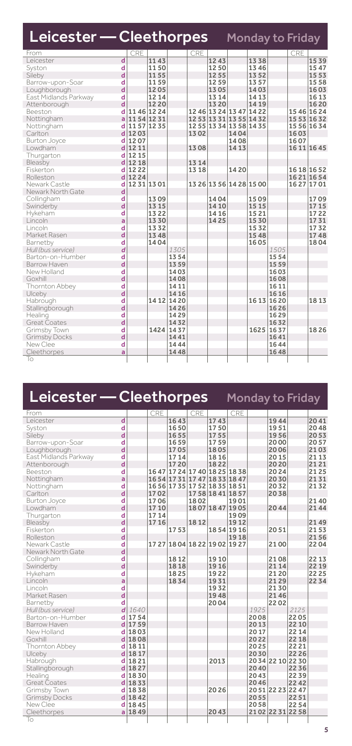| Leicester - Cleethorpes Monday to Friday |   |             |       |             |      |                         |       |       |       |      |             |
|------------------------------------------|---|-------------|-------|-------------|------|-------------------------|-------|-------|-------|------|-------------|
| From                                     |   | CRE         |       |             | CRE  |                         |       |       |       | CRE  |             |
| Leicester                                | d |             | 1143  |             |      | 1243                    |       | 1338  |       |      | 1539        |
| Syston                                   | d |             | 1150  |             |      | 1250                    |       | 1346  |       |      | 1547        |
| Sileby                                   | d |             | 1155  |             |      | 1255                    |       | 1352  |       |      | 1553        |
| Barrow-upon-Soar                         | d |             | 1159  |             |      | 1259                    |       | 1357  |       |      | 1558        |
| Loughborough                             | d |             | 1205  |             |      | 1305                    |       | 1403  |       |      | 1603        |
| East Midlands Parkway                    | d |             | 12 14 |             |      | 13 14                   |       | 14 13 |       |      | 16 13       |
| Attenborough                             | d |             | 1220  |             |      | 13 20                   |       | 14 19 |       |      | 1620        |
| Beeston                                  | d | 1146 1224   |       |             |      | 12 46 13 24 13 47 14 22 |       |       |       |      | 15 46 16 24 |
| Nottingham                               | ă | 1154 1231   |       |             |      | 12 53 13 31 13 55 14 32 |       |       |       |      | 15 53 16 32 |
| Nottingham                               | d | 11 57 12 35 |       |             |      | 12 55 13 34 13 58 14 35 |       |       |       |      | 15 56 16 34 |
| Carlton                                  | d | 1203        |       |             | 1302 |                         | 1404  |       |       | 1603 |             |
| <b>Burton Joyce</b>                      | d | 1207        |       |             |      |                         | 1408  |       |       | 1607 |             |
| Lowdham                                  | d | 12 11       |       |             | 1308 |                         | 14 13 |       |       |      | 16 11 16 45 |
| Thurgarton                               | d | 12 15       |       |             |      |                         |       |       |       |      |             |
| Bleasby                                  | d | 12 18       |       |             | 1314 |                         |       |       |       |      |             |
| Fiskerton                                | d | 1222        |       |             | 1318 |                         | 14 20 |       |       |      | 16 18 16 52 |
| Rolleston                                | d | 1224        |       |             |      |                         |       |       |       |      | 1621 1654   |
| Newark Castle                            | d | 12 31 13 01 |       |             |      | 13 26 13 56 14 28 15 00 |       |       |       |      | 16 27 17 01 |
| Newark North Gate                        | d |             |       |             |      |                         |       |       |       |      |             |
| Collingham                               | d |             | 1309  |             |      | 1404                    |       | 1509  |       |      | 1709        |
| Swinderby                                | d |             | 13 15 |             |      | 14 10                   |       | 15 15 |       |      | 1715        |
| Hykeham                                  | d |             | 1322  |             |      | 14 16                   |       | 1521  |       |      | 1722        |
| Lincoln                                  | a |             | 1330  |             |      | 1425                    |       | 15 30 |       |      | 1731        |
| Lincoln                                  | d |             | 1332  |             |      |                         |       | 1532  |       |      | 1732        |
| Market Rasen                             | d |             | 1348  |             |      |                         |       | 1548  |       |      | 1748        |
| Barnetby                                 | d |             | 1404  |             |      |                         |       | 1605  |       |      | 1804        |
| Hull (bus service)                       | d |             |       | 1305        |      |                         |       |       | 1505  |      |             |
| Barton-on-Humber                         | d |             |       | 1354        |      |                         |       |       | 1554  |      |             |
| Barrow Haven                             | d |             |       | 1359        |      |                         |       |       | 1559  |      |             |
| New Holland                              | d |             |       | 1403        |      |                         |       |       | 1603  |      |             |
| Goxhill                                  | d |             |       | 1408        |      |                         |       |       | 1608  |      |             |
| Thornton Abbey                           | d |             |       | 14 11       |      |                         |       |       | 16 11 |      |             |
| Ulceby                                   | d |             |       | 14 16       |      |                         |       |       | 16 16 |      |             |
| Habrough                                 | d |             |       | 14 12 14 20 |      |                         |       | 16 13 | 1620  |      | 1813        |
| Stallingborough                          | d |             |       | 1426        |      |                         |       |       | 1626  |      |             |
| Healing                                  | d |             |       | 1429        |      |                         |       |       | 1629  |      |             |
| Great Coates                             | d |             |       | 1432        |      |                         |       |       | 1632  |      |             |
| Grimsby Town                             | d |             | 1424  | 1437        |      |                         |       | 1625  | 1637  |      | 1826        |
| <b>Grimsby Docks</b>                     | d |             |       | 1441        |      |                         |       |       | 1641  |      |             |
| New Clee                                 | d |             |       | 1444        |      |                         |       |       | 1644  |      |             |
| Cleethorpes                              | a |             |       | 1448        |      |                         |       |       | 1648  |      |             |
| To                                       |   |             |       |             |      |                         |       |       |       |      |             |

### Leicester - Cleethorpes Monday to Friday

| From                  |                         |          | <b>CRE</b> |      | <b>CRE</b>                    |                   | CRE       |      |                   |       |       |
|-----------------------|-------------------------|----------|------------|------|-------------------------------|-------------------|-----------|------|-------------------|-------|-------|
| Leicester             | d                       |          |            | 1643 |                               | 1743              |           |      | 1944              |       | 2041  |
| Syston                | d                       |          |            | 1650 |                               | 1750              |           |      | 1951              |       | 2048  |
| Sileby                | d                       |          |            | 1655 |                               | 1755              |           |      | 1956              |       | 2053  |
| Barrow-upon-Soar      | d                       |          |            | 1659 |                               | 1759              |           |      | 2000              |       | 2057  |
| Loughborough          | d                       |          |            | 1705 |                               | 1805              |           |      | 2006              |       | 2103  |
| East Midlands Parkway | d                       |          |            | 1714 |                               | 1816              |           |      | 2015              |       | 21 13 |
| Attenborough          | d                       |          |            | 1720 |                               | 1822              |           |      | 2020              |       | 2121  |
| Beeston               | d                       |          |            |      | 16 47 17 24 17 40 18 25 18 38 |                   |           |      | 2024              |       | 2125  |
| Nottingham            | a                       |          |            |      | 16 54 17 31 17 47 18 33 18 47 |                   |           |      | 2030              |       | 2131  |
| Nottingham            | d                       |          |            |      | 16 56 17 35 17 52 18 35 18 51 |                   |           |      | 2032              |       | 2132  |
| Carlton               | d                       |          | 1702       |      |                               | 17 58 18 41 18 57 |           |      | 2038              |       |       |
| <b>Burton Joyce</b>   | d                       |          | 1706       |      | 1802                          |                   | 1901      |      |                   |       | 2140  |
| Lowdham               | d                       |          | 1710       |      |                               | 1807 1847 1905    |           |      | 2044              |       | 2144  |
| Thurgarton            | d                       |          | 1714       |      |                               |                   | 1909      |      |                   |       |       |
| Bleasby               | d                       |          | 17 16      |      | 1812                          |                   | 1912      |      |                   |       | 2149  |
| Fiskerton             | d                       |          |            | 1753 |                               |                   | 1854 1916 |      | 2051              |       | 2153  |
| Rolleston             | d                       |          |            |      |                               |                   | 1918      |      |                   |       | 2156  |
| Newark Castle         | d                       |          |            |      | 17 27 18 04 18 22 19 02 19 27 |                   |           |      | 2100              |       | 2204  |
| Newark North Gate     | d                       |          |            |      |                               |                   |           |      |                   |       |       |
| Collingham            | d                       |          |            | 1812 |                               | 1910              |           |      | 2108              |       | 22 13 |
| Swinderby             | d                       |          |            | 1818 |                               | 1916              |           |      | 2114              |       | 22 19 |
| Hykeham               | d                       |          |            | 1825 |                               | 1922              |           |      | 2120              |       | 22 25 |
| Lincoln               | a                       |          |            | 1834 |                               | 1931              |           |      | 2129              |       | 2234  |
| Lincoln               | d                       |          |            |      |                               | 1932              |           |      | 2130              |       |       |
| Market Rasen          | d                       |          |            |      |                               | 1948              |           |      | 2146              |       |       |
| Barnetby              | d                       |          |            |      |                               | 2004              |           |      | 2202              |       |       |
| Hull (bus service)    | d                       | 1640     |            |      |                               |                   |           | 1925 |                   | 2125  |       |
| Barton-on-Humber      | d                       | 1754     |            |      |                               |                   |           | 2008 |                   | 2205  |       |
| Barrow Haven          | d                       | 1759     |            |      |                               |                   |           | 2013 |                   | 22 10 |       |
| New Holland           | d                       | 1803     |            |      |                               |                   |           | 2017 |                   | 22 14 |       |
| Goxhill               |                         | $d$ 1808 |            |      |                               |                   |           | 2022 |                   | 22 18 |       |
| Thornton Abbey        | d                       | 1811     |            |      |                               |                   |           | 2025 |                   | 2221  |       |
| Ulceby                | $\overline{\mathsf{d}}$ | 1817     |            |      |                               |                   |           | 2030 |                   | 22 26 |       |
| Habrough              | $\mathbf d$             | 1821     |            |      |                               | 2013              |           |      | 2034 2210 2230    |       |       |
| Stallingborough       |                         | $d$ 1827 |            |      |                               |                   |           | 2040 |                   | 2236  |       |
| Healing               | d                       | 1830     |            |      |                               |                   |           | 2043 |                   | 2239  |       |
| <b>Great Coates</b>   |                         | $d$ 1833 |            |      |                               |                   |           | 2046 |                   | 2242  |       |
| Grimsby Town          |                         | d 1838   |            |      |                               | 2026              |           |      | 20 51 22 23 22 47 |       |       |
| <b>Grimsby Docks</b>  |                         | $d$ 1842 |            |      |                               |                   |           | 2055 |                   | 2251  |       |
| New Clee              | d                       | 1845     |            |      |                               |                   |           | 2058 |                   | 2254  |       |
| Cleethorpes           |                         | $a$ 1849 |            |      |                               | 2043              |           |      | 2102 2231 2258    |       |       |
| To                    |                         |          |            |      |                               |                   |           |      |                   |       |       |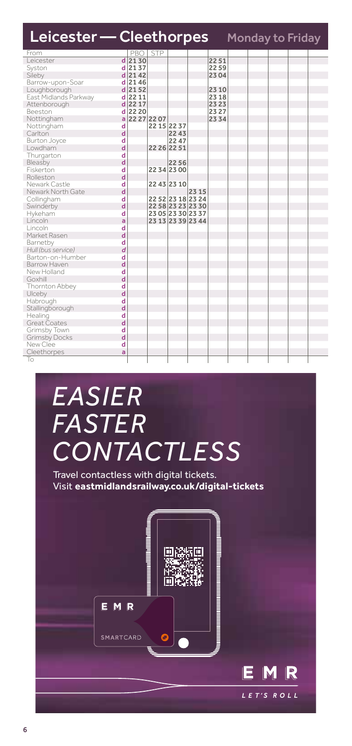| Leicester - Cleethorpes |   |               |                   |       |       | Monday to Friday |  |  |
|-------------------------|---|---------------|-------------------|-------|-------|------------------|--|--|
| From                    |   | PBO STP       |                   |       |       |                  |  |  |
| Leicester               |   | $d$ 2130      |                   |       | 2251  |                  |  |  |
| Syston                  |   | d 2137        |                   |       | 2259  |                  |  |  |
| Sileby                  |   | d 2142        |                   |       | 2304  |                  |  |  |
| Barrow-upon-Soar        |   | $d$ 2146      |                   |       |       |                  |  |  |
| Loughborough            |   | $d$ 2152      |                   |       | 23 10 |                  |  |  |
| East Midlands Parkway   |   | d 22 11       |                   |       | 23 18 |                  |  |  |
| Attenborough            |   | d 22 17       |                   |       | 23 23 |                  |  |  |
| Beeston                 |   | $d$ 22 20     |                   |       | 23 27 |                  |  |  |
| Nottingham              |   | a 22 27 22 07 |                   |       | 2334  |                  |  |  |
| Nottingham              | d |               | 22 15 22 37       |       |       |                  |  |  |
| Carlton                 | d |               | 2243              |       |       |                  |  |  |
| <b>Burton Joyce</b>     | d |               | 22 47             |       |       |                  |  |  |
| Lowdham                 | d |               | 22 26 22 51       |       |       |                  |  |  |
| Thurgarton              | d |               |                   |       |       |                  |  |  |
| Bleasby                 | d |               | 2256              |       |       |                  |  |  |
| Fiskerton               | d |               | 2234 2300         |       |       |                  |  |  |
| Rolleston               | d |               |                   |       |       |                  |  |  |
| Newark Castle           | d |               | 22 43 23 10       |       |       |                  |  |  |
| Newark North Gate       | d |               |                   | 23 15 |       |                  |  |  |
| Collingham              | d |               | 22 52 23 18 23 24 |       |       |                  |  |  |
| Swinderby               | d |               | 22 58 23 23 23 30 |       |       |                  |  |  |
| Hykeham                 | d |               | 23 05 23 30 23 37 |       |       |                  |  |  |
| Lincoln                 | a |               | 23 13 23 39 23 44 |       |       |                  |  |  |
| Lincoln                 | d |               |                   |       |       |                  |  |  |
| Market Rasen            | d |               |                   |       |       |                  |  |  |
| Barnetby                | d |               |                   |       |       |                  |  |  |
| Hull (bus service)      | d |               |                   |       |       |                  |  |  |
| Barton-on-Humber        | d |               |                   |       |       |                  |  |  |
| Barrow Haven            | d |               |                   |       |       |                  |  |  |
| New Holland             | d |               |                   |       |       |                  |  |  |
| Goxhill                 | d |               |                   |       |       |                  |  |  |
| Thornton Abbey          | d |               |                   |       |       |                  |  |  |
| Ulceby                  | d |               |                   |       |       |                  |  |  |
| Habrough                | d |               |                   |       |       |                  |  |  |
| Stallingborough         | d |               |                   |       |       |                  |  |  |
| Healing                 | d |               |                   |       |       |                  |  |  |
| Great Coates            | d |               |                   |       |       |                  |  |  |
| Grimsby Town            | d |               |                   |       |       |                  |  |  |
| Grimsby Docks           | d |               |                   |       |       |                  |  |  |
| New Clee                | d |               |                   |       |       |                  |  |  |
| Cleethorpes             | a |               |                   |       |       |                  |  |  |
| To                      |   |               |                   |       |       |                  |  |  |

## *EASIER FASTER CONTACTLESS*

Travel contactless with digital tickets. Visit **eastmidlandsrailway.co.uk/digital-tickets**

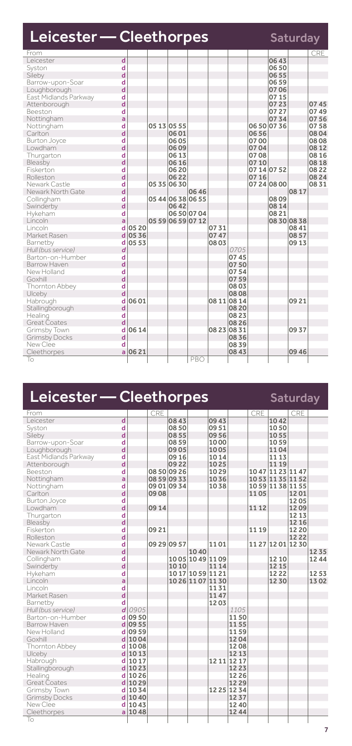| Leicester - Cleethorpes<br>Saturday |   |       |             |                   |      |             |       |             |       |           |            |  |
|-------------------------------------|---|-------|-------------|-------------------|------|-------------|-------|-------------|-------|-----------|------------|--|
| From                                |   |       |             |                   |      |             |       |             |       |           | <b>CRE</b> |  |
| l eicester                          | d |       |             |                   |      |             |       |             | 0643  |           |            |  |
| Syston                              | d |       |             |                   |      |             |       |             | 0650  |           |            |  |
| Sileby                              | d |       |             |                   |      |             |       |             | 06 55 |           |            |  |
| Barrow-upon-Soar                    | d |       |             |                   |      |             |       |             | 06 59 |           |            |  |
| Loughborough                        | d |       |             |                   |      |             |       |             | 07 06 |           |            |  |
| East Midlands Parkway               | d |       |             |                   |      |             |       |             | 07 15 |           |            |  |
| Attenborough                        | d |       |             |                   |      |             |       |             | 0723  |           | 0745       |  |
| Beeston                             | d |       |             |                   |      |             |       |             | 07 27 |           | 0749       |  |
| Nottingham                          | a |       |             |                   |      |             |       |             | 0734  |           | 0756       |  |
| Nottingham                          | d |       | 05 13 05 55 |                   |      |             |       | 06 50 07 36 |       |           | 0758       |  |
| Carlton                             | d |       |             | 0601              |      |             |       | 0656        |       |           | 0804       |  |
| Burton Joyce                        | d |       |             | 0605              |      |             |       | 0700        |       |           | 0808       |  |
| Lowdham                             | d |       |             | 0609              |      |             |       | 0704        |       |           | 08 12      |  |
| Thurgarton                          | d |       |             | 06 13             |      |             |       | 0708        |       |           | 08 16      |  |
| Bleasby                             | d |       |             | 06 16             |      |             |       | 07 10       |       |           | 08 18      |  |
| Fiskerton                           | d |       |             | 06 20             |      |             |       | 07 14 07 52 |       |           | 08 22      |  |
| Rolleston                           | d |       |             | 0622              |      |             |       | 0716        |       |           | 08 24      |  |
| Newark Castle                       | d |       |             | 0535 0630         |      |             |       | 07 24 08 00 |       |           | 0831       |  |
| Newark North Gate                   | d |       |             |                   | 0646 |             |       |             |       | 08 17     |            |  |
| Collingham                          | d |       |             | 05 44 06 38 06 55 |      |             |       |             | 0809  |           |            |  |
| Swinderby                           | d |       |             | 06 42             |      |             |       |             | 08 14 |           |            |  |
| Hykeham                             | d |       |             | 06 50 07 04       |      |             |       |             | 08 21 |           |            |  |
| Lincoln                             | a |       |             | 05 59 06 59 07 12 |      |             |       |             |       | 0830 0838 |            |  |
| Lincoln                             | d | 05 20 |             |                   |      | 0731        |       |             |       | 08 41     |            |  |
| Market Rasen                        | d | 0536  |             |                   |      | 0747        |       |             |       | 0857      |            |  |
| Barnetby                            | d | 0553  |             |                   |      | 0803        |       |             |       | 09 13     |            |  |
| Hull (bus service)                  | d |       |             |                   |      |             | 0705  |             |       |           |            |  |
| Barton-on-Humber                    | d |       |             |                   |      |             | 0745  |             |       |           |            |  |
| Barrow Haven                        | d |       |             |                   |      |             | 0750  |             |       |           |            |  |
| New Holland                         | d |       |             |                   |      |             | 0754  |             |       |           |            |  |
| Goxhill                             | d |       |             |                   |      |             | 0759  |             |       |           |            |  |
| Thornton Abbey                      | d |       |             |                   |      |             | 0803  |             |       |           |            |  |
| Ulceby                              | d |       |             |                   |      |             | 0808  |             |       |           |            |  |
| Habrough                            | d | 0601  |             |                   |      | 08 11 08 14 |       |             |       | 09 21     |            |  |
| Stallingborough                     | d |       |             |                   |      |             | 08 20 |             |       |           |            |  |
| Healing                             | d |       |             |                   |      |             | 0823  |             |       |           |            |  |
| Great Coates                        | d |       |             |                   |      |             | 08 26 |             |       |           |            |  |
| Grimsby Town                        | d | 06 14 |             |                   |      | 08 23 08 31 |       |             |       | 0937      |            |  |
| <b>Grimsby Docks</b>                | d |       |             |                   |      |             | 0836  |             |       |           |            |  |
| New Clee                            | d |       |             |                   |      |             | 0839  |             |       |           |            |  |
| Cleethorpes                         | a | 0621  |             |                   |      |             | 08 43 |             |       | 09 46     |            |  |
| To                                  |   |       |             |                   | PBO  |             |       |             |       |           |            |  |

### Leicester - Cleethorpes Saturday

| From                              |                         | CRE  |             |                   |       |             | <b>CRE</b> |                   | CRE   |      |
|-----------------------------------|-------------------------|------|-------------|-------------------|-------|-------------|------------|-------------------|-------|------|
| Leicester                         | d                       |      | 0843        |                   | 09 43 |             |            | 1042              |       |      |
| Syston                            | d                       |      | 08 50       |                   | 0951  |             |            | 1050              |       |      |
| d<br>Sileby                       |                         |      | 0855        |                   | 09 56 |             |            | 1055              |       |      |
| Barrow-upon-Soar                  | d                       |      | 08 59       |                   | 1000  |             |            | 1059              |       |      |
| Loughborough                      | d                       |      | 0905        |                   | 1005  |             |            | 1104              |       |      |
| East Midlands Parkway             | d                       |      | 09 16       |                   | 1014  |             |            | 11 13             |       |      |
| Attenborough                      | d                       |      | 0922        |                   | 1025  |             |            | 11 19             |       |      |
| Beeston                           | d                       |      | 0850 0926   |                   | 1029  |             |            | 10 47 11 23 11 47 |       |      |
| Nottingham                        | a                       |      | 08 59 09 33 |                   | 1036  |             |            | 10 53 11 35 11 52 |       |      |
| Nottingham                        | d                       |      | 09 01 09 34 |                   | 1038  |             |            | 10 59 11 38 11 55 |       |      |
| d<br>Carlton                      |                         | 0908 |             |                   |       |             | 1105       |                   | 1201  |      |
| <b>Burton Joyce</b>               | d                       |      |             |                   |       |             |            |                   | 1205  |      |
| Lowdham                           | d                       | 0914 |             |                   |       |             | 11 12      |                   | 1209  |      |
| Thurgarton                        | d                       |      |             |                   |       |             |            |                   | 12 13 |      |
| Bleasby                           | $\mathbf d$             |      |             |                   |       |             |            |                   | 12 16 |      |
| Fiskerton                         | d                       | 0921 |             |                   |       |             | 11 19      |                   | 12 20 |      |
| Rolleston                         | d                       |      |             |                   |       |             |            |                   | 1222  |      |
| Newark Castle                     | d                       |      | 09 29 09 57 |                   | 1101  |             |            | 11 27 12 01 12 30 |       |      |
| $\mathsf{d}$<br>Newark North Gate |                         |      |             | 1040              |       |             |            |                   |       | 1235 |
| Collingham                        | d                       |      |             | 1005 1049 1109    |       |             |            | 12 10             |       | 1244 |
| d<br>Swinderby                    |                         |      | 1010        |                   | 11 14 |             |            | 12 15             |       |      |
| Hykeham                           | d                       |      |             | 10 17 10 59 11 21 |       |             |            | 1222              |       | 1253 |
| Lincoln                           | a                       |      |             | 10 26 11 07 11 30 |       |             |            | 1230              |       | 1302 |
| Lincoln                           | $\overline{\mathbf{d}}$ |      |             |                   | 1131  |             |            |                   |       |      |
| Market Rasen                      | d                       |      |             |                   | 1147  |             |            |                   |       |      |
| Barnetby                          | d                       |      |             |                   | 1203  |             |            |                   |       |      |
| Hull (bus service)                | 0905<br>$\overline{d}$  |      |             |                   |       | 1105        |            |                   |       |      |
| Barton-on-Humber                  | d 09 50                 |      |             |                   |       | 1150        |            |                   |       |      |
| Barrow Haven                      | $d$ 09 55               |      |             |                   |       | 1155        |            |                   |       |      |
| New Holland                       | 09 59<br>d              |      |             |                   |       | 1159        |            |                   |       |      |
| Goxhill                           | $d$ 1004                |      |             |                   |       | 1204        |            |                   |       |      |
| Thornton Abbey                    | d 1008                  |      |             |                   |       | 1208        |            |                   |       |      |
| Ulceby                            | 1013<br>d               |      |             |                   |       | 1213        |            |                   |       |      |
| Habrough                          | 1017<br>d               |      |             |                   |       | 12 11 12 17 |            |                   |       |      |
| Stallingborough                   | $d$ 1023                |      |             |                   |       | 1223        |            |                   |       |      |
| Healing                           | d 1026                  |      |             |                   |       | 1226        |            |                   |       |      |
| <b>Great Coates</b>               | $d$ 1029                |      |             |                   |       | 1229        |            |                   |       |      |
| Grimsby Town                      | d 1034                  |      |             |                   |       | 12 25 12 34 |            |                   |       |      |
| Grimsby Docks                     | $d$ 1040                |      |             |                   |       | 1237        |            |                   |       |      |
| New Clee                          | 1043<br>d               |      |             |                   |       | 1240        |            |                   |       |      |
| Cleethorpes                       | a 1048                  |      |             |                   |       | 1244        |            |                   |       |      |
| To                                |                         |      |             |                   |       |             |            |                   |       |      |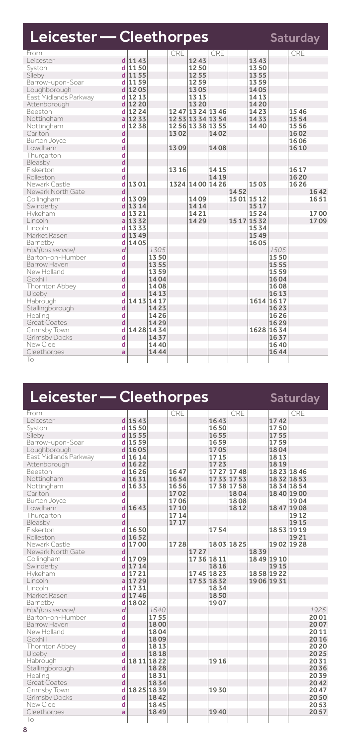| Leicester — Cleethorpes |                |           |             |       |                   |       |      |             |           | Saturday |      |
|-------------------------|----------------|-----------|-------------|-------|-------------------|-------|------|-------------|-----------|----------|------|
| From                    |                |           |             | CRE   |                   | CRE   |      |             |           | CRE      |      |
| Leicester               |                | $d$ 1143  |             |       | 1243              |       |      | 1343        |           |          |      |
| Syston                  | d              | 1150      |             |       | 1250              |       |      | 1350        |           |          |      |
| Sileby                  |                | d 1155    |             |       | 12 55             |       |      | 1355        |           |          |      |
| Barrow-upon-Soar        |                | d 1159    |             |       | 1259              |       |      | 1359        |           |          |      |
| Loughborough            |                | d 1205    |             |       | 1305              |       |      | 1405        |           |          |      |
| East Midlands Parkway   |                | $d$ 12 13 |             |       | 13 13             |       |      | 14 13       |           |          |      |
| Attenborough            | d              | 12 20     |             |       | 13 20             |       |      | 1420        |           |          |      |
| Beeston                 |                | d 12 24   |             |       | 12 47 13 24 13 46 |       |      | 1423        |           | 1546     |      |
| Nottingham              |                | $a$ 12 33 |             |       | 12 53 13 34 13 54 |       |      | 1433        |           | 1554     |      |
| Nottingham              | d              | 1238      |             |       | 12 56 13 38 13 55 |       |      | 1440        |           | 1556     |      |
| Carlton                 | d              |           |             | 1302  |                   | 1402  |      |             |           | 1602     |      |
| <b>Burton Joyce</b>     | d              |           |             |       |                   |       |      |             |           | 1606     |      |
| Lowdham                 | d              |           |             | 1309  |                   | 1408  |      |             |           | 16 10    |      |
| Thurgarton              | d              |           |             |       |                   |       |      |             |           |          |      |
| Bleasby                 | $\overline{d}$ |           |             |       |                   |       |      |             |           |          |      |
| Fiskerton               | d              |           |             | 13 16 |                   | 14 15 |      |             |           | 16 17    |      |
| Rolleston               | d              |           |             |       |                   | 14 19 |      |             |           | 1620     |      |
| Newark Castle           | d              | 1301      |             |       | 1324 14 00 14 26  |       |      | 1503        |           | 1626     |      |
| Newark North Gate       | d              |           |             |       |                   |       | 1452 |             |           |          | 1642 |
| Collingham              | d              | 1309      |             |       | 1409              |       |      | 15 01 15 12 |           |          | 1651 |
| Swinderby               |                | $d$ 13 14 |             |       | 14 14             |       |      | 15 17       |           |          |      |
| Hykeham                 | d              | 1321      |             |       | 1421              |       |      | 1524        |           |          | 1700 |
| Lincoln                 |                | $a$ 13 32 |             |       | 1429              |       |      | 15 17 15 32 |           |          | 1709 |
| Lincoln                 |                | d 1333    |             |       |                   |       |      | 1534        |           |          |      |
| Market Rasen            | d              | 1349      |             |       |                   |       |      | 1549        |           |          |      |
| Barnetby                | d              | 1405      |             |       |                   |       |      | 1605        |           |          |      |
| Hull (bus service)      | d              |           | 1305        |       |                   |       |      |             | 1505      |          |      |
| Barton-on-Humber        | d              |           | 1350        |       |                   |       |      |             | 1550      |          |      |
| Barrow Haven            | d              |           | 1355        |       |                   |       |      |             | 15 55     |          |      |
| New Holland             | d              |           | 1359        |       |                   |       |      |             | 1559      |          |      |
| Goxhill                 | d              |           | 1404        |       |                   |       |      |             | 1604      |          |      |
| Thornton Abbey          | d              |           | 1408        |       |                   |       |      |             | 1608      |          |      |
| Ulceby                  | d              |           | 1413        |       |                   |       |      |             | 16 13     |          |      |
| Habrough                | d              |           | 14 13 14 17 |       |                   |       |      |             | 1614 1617 |          |      |
| Stallingborough         | d              |           | 1423        |       |                   |       |      |             | 1623      |          |      |
| Healing                 | d              |           | 1426        |       |                   |       |      |             | 1626      |          |      |
| Great Coates            | d              |           | 1429        |       |                   |       |      |             | 1629      |          |      |
| Grimsby Town            | d              | 1428 1434 |             |       |                   |       |      | 1628        | 1634      |          |      |
| Grimsby Docks           | d              |           | 1437        |       |                   |       |      |             | 1637      |          |      |
| New Clee                | d              |           | 1440        |       |                   |       |      |             | 1640      |          |      |
| Cleethorpes             | ă              |           | 1444        |       |                   |       |      |             | 1644      |          |      |
| To                      |                |           |             |       |                   |       |      |             |           |          |      |

| Leicester — Cleethorpes |                         |             |      |       |      |             |             |      |             | <b>Saturday</b> |      |
|-------------------------|-------------------------|-------------|------|-------|------|-------------|-------------|------|-------------|-----------------|------|
| From                    |                         |             |      | CRE   |      |             | CRE         |      |             | CRE             |      |
| Leicester               |                         | $d$ 1543    |      |       |      | 1643        |             |      | 1742        |                 |      |
| Syston                  |                         | $d$ 1550    |      |       |      | 1650        |             |      | 1750        |                 |      |
| Sileby                  |                         | $d$ 1555    |      |       |      | 1655        |             |      | 1755        |                 |      |
| Barrow-upon-Soar        |                         | d 15 59     |      |       |      | 1659        |             |      | 1759        |                 |      |
| Loughborough            |                         | $d$ 1605    |      |       |      | 1705        |             |      | 1804        |                 |      |
| East Midlands Parkway   |                         | d 16 14     |      |       |      | 17 15       |             |      | 1813        |                 |      |
| Attenborough            |                         | $d$ 1622    |      |       |      | 1723        |             |      | 1819        |                 |      |
| Beeston                 |                         | $d$ 1626    |      | 1647  |      |             | 17 27 17 48 |      |             | 18 23 18 46     |      |
| Nottingham              |                         | $a$ 1631    |      | 1654  |      |             | 17 33 17 53 |      |             | 1832 1853       |      |
| Nottingham              | d                       | 1633        |      | 1656  |      |             | 1738 1758   |      |             | 1834 1854       |      |
| Carlton                 | $\mathsf{d}$            |             |      | 1702  |      |             | 1804        |      |             | 18 40 19 00     |      |
| <b>Burton Joyce</b>     | d                       |             |      | 1706  |      |             | 1808        |      |             | 1904            |      |
| Lowdham                 |                         | $d$ 1643    |      | 1710  |      |             | 1812        |      |             | 1847 1908       |      |
| Thurgarton              | d                       |             |      | 1714  |      |             |             |      |             | 1912            |      |
| Bleasby                 | d                       |             |      | 17 17 |      |             |             |      |             | 1915            |      |
| Fiskerton               | d                       | 1650        |      |       |      | 1754        |             |      |             | 1853 1919       |      |
| Rolleston               |                         | $d$ 1652    |      |       |      |             |             |      |             | 1921            |      |
| Newark Castle           | d                       | 1700        |      | 1728  |      |             | 1803 1825   |      |             | 1902 1928       |      |
| Newark North Gate       | d                       |             |      |       | 1727 |             |             | 1839 |             |                 |      |
| Collingham              | d                       | 1709        |      |       |      | 17 36 18 11 |             |      | 18 49 19 10 |                 |      |
| Swinderby               |                         | $d$ 1714    |      |       |      | 1816        |             |      | 1915        |                 |      |
| Hykeham                 |                         | d 17 21     |      |       |      | 1745 1823   |             |      | 1858 1922   |                 |      |
| Lincoln                 |                         | 1729        |      |       |      | 17 53 18 32 |             |      | 19 06 19 31 |                 |      |
| Lincoln                 |                         | d 1731      |      |       |      | 1834        |             |      |             |                 |      |
| Market Rasen            |                         | $d$ 1746    |      |       |      | 1850        |             |      |             |                 |      |
| Barnetby                | d                       | 1802        |      |       |      | 1907        |             |      |             |                 |      |
| Hull (bus service)      | d                       |             | 1640 |       |      |             |             |      |             |                 | 1925 |
| Barton-on-Humber        | d                       |             | 1755 |       |      |             |             |      |             |                 | 2001 |
| Barrow Haven            | $\overline{\mathsf{d}}$ |             | 1800 |       |      |             |             |      |             |                 | 2007 |
| New Holland             | d                       |             | 1804 |       |      |             |             |      |             |                 | 2011 |
| Goxhill                 | d                       |             | 1809 |       |      |             |             |      |             |                 | 2016 |
| Thornton Abbey          | d                       |             | 1813 |       |      |             |             |      |             |                 | 2020 |
| Ulceby                  | d                       |             | 1818 |       |      |             |             |      |             |                 | 2025 |
| Habrough                | d                       | 18 11 18 22 |      |       |      | 1916        |             |      |             |                 | 2031 |
| Stallingborough         | d                       |             | 1828 |       |      |             |             |      |             |                 | 2036 |
| Healing                 | d                       |             | 1831 |       |      |             |             |      |             |                 | 2039 |
| <b>Great Coates</b>     | d                       |             | 1834 |       |      |             |             |      |             |                 | 2042 |
| Grimsby Town            | d                       | 1825 1839   |      |       |      | 1930        |             |      |             |                 | 2047 |
| Grimsby Docks           | d                       |             | 1842 |       |      |             |             |      |             |                 | 2050 |
| New Clee                | d                       |             | 1845 |       |      |             |             |      |             |                 | 2053 |
| Cleethorpes             | a                       |             | 1849 |       |      | 1940        |             |      |             |                 | 2057 |
| То                      |                         |             |      |       |      |             |             |      |             |                 |      |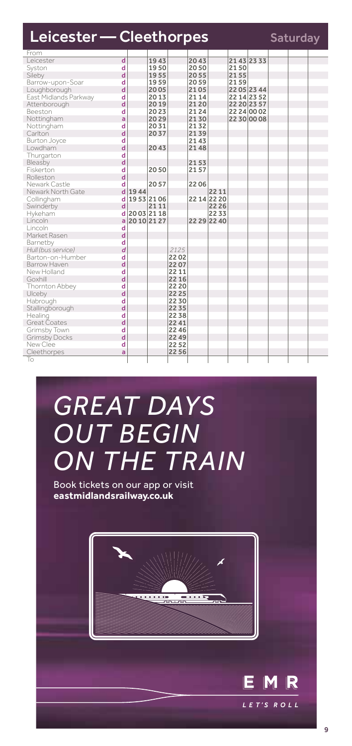| From<br>$\overline{\mathsf{d}}$<br>21432333<br>Leicester<br>1943<br>2043<br>1950<br>2050<br>d<br>2150<br>Syston<br>d<br>1955<br>2055<br>2155<br>Sileby<br>d<br>1959<br>2059<br>2159<br>Barrow-upon-Soar<br>d<br>2005<br>2105<br>2205 2344<br>Loughborough<br>2013<br>21 14<br>East Midlands Parkway<br>d<br>22 14 23 52 |  |
|-------------------------------------------------------------------------------------------------------------------------------------------------------------------------------------------------------------------------------------------------------------------------------------------------------------------------|--|
|                                                                                                                                                                                                                                                                                                                         |  |
|                                                                                                                                                                                                                                                                                                                         |  |
|                                                                                                                                                                                                                                                                                                                         |  |
|                                                                                                                                                                                                                                                                                                                         |  |
|                                                                                                                                                                                                                                                                                                                         |  |
|                                                                                                                                                                                                                                                                                                                         |  |
|                                                                                                                                                                                                                                                                                                                         |  |
| d<br>2019<br>2120<br>22 20 23 57<br>Attenborough                                                                                                                                                                                                                                                                        |  |
| 2124<br>d<br>2023<br>22 24 00 02<br>Beeston<br>2130<br>a<br>2029<br>2230 00 08                                                                                                                                                                                                                                          |  |
| Nottingham<br>2132                                                                                                                                                                                                                                                                                                      |  |
| 2031<br>d<br>Nottingham<br>d<br>Carlton<br>2037                                                                                                                                                                                                                                                                         |  |
| 2139<br>2143<br>d                                                                                                                                                                                                                                                                                                       |  |
| Burton Joyce<br>d<br>2148<br>Lowdham<br>2043                                                                                                                                                                                                                                                                            |  |
| d<br>Thurgarton                                                                                                                                                                                                                                                                                                         |  |
| d<br>2153                                                                                                                                                                                                                                                                                                               |  |
| Bleasby<br>2157<br>Fiskerton<br>d<br>2050                                                                                                                                                                                                                                                                               |  |
| d<br>Rolleston                                                                                                                                                                                                                                                                                                          |  |
| Newark Castle<br>d<br>2206<br>2057                                                                                                                                                                                                                                                                                      |  |
| d<br>Newark North Gate<br>1944<br>22 11                                                                                                                                                                                                                                                                                 |  |
| 1953 2106<br>22 14 22 20<br>d<br>Collingham                                                                                                                                                                                                                                                                             |  |
| d<br>2111<br>22 26<br>Swinderby                                                                                                                                                                                                                                                                                         |  |
| 20032118<br>Hykeham<br>2233<br>d                                                                                                                                                                                                                                                                                        |  |
| 22 29 22 40<br>Lincoln<br>2010 2127<br>ă                                                                                                                                                                                                                                                                                |  |
| Lincoln<br>d                                                                                                                                                                                                                                                                                                            |  |
| d<br>Market Rasen                                                                                                                                                                                                                                                                                                       |  |
| d<br>Barnetby                                                                                                                                                                                                                                                                                                           |  |
| d<br>Hull (bus service)<br>2125                                                                                                                                                                                                                                                                                         |  |
| Barton-on-Humber<br>d<br>2202                                                                                                                                                                                                                                                                                           |  |
| d<br>Barrow Haven<br>2207                                                                                                                                                                                                                                                                                               |  |
| d<br>New Holland<br>22 11                                                                                                                                                                                                                                                                                               |  |
| d<br>22 16<br>Goxhill                                                                                                                                                                                                                                                                                                   |  |
| 22 20<br>Thornton Abbey<br>d                                                                                                                                                                                                                                                                                            |  |
| d<br>Ulceby<br>22 25                                                                                                                                                                                                                                                                                                    |  |
| d<br>Habrough<br>2230                                                                                                                                                                                                                                                                                                   |  |
| d<br>Stallingborough<br>22 35                                                                                                                                                                                                                                                                                           |  |
| d<br>2238<br>Healing                                                                                                                                                                                                                                                                                                    |  |
| d<br>Great Coates<br>2241                                                                                                                                                                                                                                                                                               |  |
| Grimsby Town<br>d<br>22 46                                                                                                                                                                                                                                                                                              |  |
| d<br><b>Grimsby Docks</b><br>22 49                                                                                                                                                                                                                                                                                      |  |
| New Clee<br>d<br>2252                                                                                                                                                                                                                                                                                                   |  |
| 2256<br>Cleethorpes<br>a                                                                                                                                                                                                                                                                                                |  |
| To                                                                                                                                                                                                                                                                                                                      |  |

# *GREAT DAYS OUT BEGIN ON THE TRAIN*

Book tickets on our app or visit **eastmidlandsrailway.co.uk**



E M

LET'S ROLL

R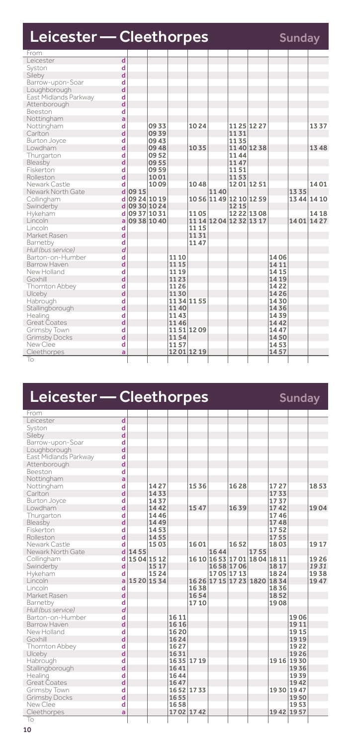| Leicester – Cleethorpes              |               |             |       |           |      |                         |             |       | Sunday |             |
|--------------------------------------|---------------|-------------|-------|-----------|------|-------------------------|-------------|-------|--------|-------------|
| From                                 |               |             |       |           |      |                         |             |       |        |             |
| $\overline{\mathsf{d}}$<br>Leicester |               |             |       |           |      |                         |             |       |        |             |
| d<br>Syston                          |               |             |       |           |      |                         |             |       |        |             |
| d<br>Sileby                          |               |             |       |           |      |                         |             |       |        |             |
| Barrow-upon-Soar<br>d                |               |             |       |           |      |                         |             |       |        |             |
| d<br>Loughborough                    |               |             |       |           |      |                         |             |       |        |             |
| East Midlands Parkway<br>d           |               |             |       |           |      |                         |             |       |        |             |
| d<br>Attenborough                    |               |             |       |           |      |                         |             |       |        |             |
| <b>Beeston</b><br>d                  |               |             |       |           |      |                         |             |       |        |             |
| Nottingham<br>a                      |               |             |       |           |      |                         |             |       |        |             |
| d<br>Nottingham                      |               | 0933        |       | 1024      |      |                         | 1125 1227   |       |        | 1337        |
| d<br>Carlton                         |               | 0939        |       |           |      | 1131                    |             |       |        |             |
| d<br>Burton Joyce                    |               | 0943        |       |           |      | 1135                    |             |       |        |             |
| d<br>Lowdham                         |               | 0948        |       | 1035      |      |                         | 1140 1238   |       |        | 1348        |
| Thurgarton<br>d                      |               | 0952        |       |           |      | 1144                    |             |       |        |             |
| d<br>Bleasby                         |               | 0955        |       |           |      | 1147                    |             |       |        |             |
| Fiskerton<br>d                       |               | 0959        |       |           |      | 1151                    |             |       |        |             |
| d<br>Rolleston                       |               | 1001        |       |           |      | 1153                    |             |       |        |             |
| Newark Castle<br>d                   |               | 1009        |       | 1048      |      |                         | 1201 1251   |       |        | 14.01       |
| Newark North Gate                    | $d$ 09 15     |             |       |           | 1140 |                         |             |       | 1335   |             |
| Collingham                           | d 09 24 10 19 |             |       |           |      | 10 56 11 49 12 10 12 59 |             |       |        | 13 44 14 10 |
| Swinderby                            | d 09 30 10 24 |             |       |           |      | 1215                    |             |       |        |             |
| Hykeham                              | 09 37 10 31   |             |       | 1105      |      |                         | 12 22 13 08 |       |        | 14 18       |
| Lincoln<br>a                         |               | 09 38 10 40 |       |           |      | 11 14 12 04 12 32 13 17 |             |       |        | 1401 1427   |
| Lincoln<br>d                         |               |             |       | 11 15     |      |                         |             |       |        |             |
| d<br>Market Rasen                    |               |             |       | 1131      |      |                         |             |       |        |             |
| d<br>Barnetby                        |               |             |       | 1147      |      |                         |             |       |        |             |
| d<br>Hull (bus service)              |               |             |       |           |      |                         |             |       |        |             |
| Barton-on-Humber<br>d                |               |             | 11 10 |           |      |                         |             | 1406  |        |             |
| d<br><b>Barrow Haven</b>             |               |             | 11 15 |           |      |                         |             | 14 11 |        |             |
| d<br>New Holland                     |               |             | 11 19 |           |      |                         |             | 14 15 |        |             |
| d<br>Goxhill                         |               |             | 1123  |           |      |                         |             | 14 19 |        |             |
| Thornton Abbey<br>d                  |               |             | 11 26 |           |      |                         |             | 1422  |        |             |
| d<br>Ulceby                          |               |             | 1130  |           |      |                         |             | 1426  |        |             |
| d<br>Habrough                        |               |             |       | 1134 1155 |      |                         |             | 1430  |        |             |
| d<br>Stallingborough                 |               |             | 1140  |           |      |                         |             | 1436  |        |             |
| Healing<br>d                         |               |             | 1143  |           |      |                         |             | 1439  |        |             |
| d<br>Great Coates                    |               |             | 1146  |           |      |                         |             | 1442  |        |             |
| Grimsby Town<br>d                    |               |             |       | 1151 1209 |      |                         |             | 1447  |        |             |
| d<br><b>Grimsby Docks</b>            |               |             | 1154  |           |      |                         |             | 1450  |        |             |
| New Clee<br>d                        |               |             | 1157  |           |      |                         |             | 1453  |        |             |
| Cleethorpes<br>ă                     |               |             |       | 1201 1219 |      |                         |             | 1457  |        |             |
| To                                   |               |             |       |           |      |                         |             |       |        |             |

| Leicester - Cleethorpes |   |             |      |       |             |      |                               |      |             | <b>Sunday</b> |      |
|-------------------------|---|-------------|------|-------|-------------|------|-------------------------------|------|-------------|---------------|------|
| From                    |   |             |      |       |             |      |                               |      |             |               |      |
| Leicester               | d |             |      |       |             |      |                               |      |             |               |      |
| Syston                  | d |             |      |       |             |      |                               |      |             |               |      |
| Sileby                  | d |             |      |       |             |      |                               |      |             |               |      |
| Barrow-upon-Soar        | d |             |      |       |             |      |                               |      |             |               |      |
| Loughborough            | d |             |      |       |             |      |                               |      |             |               |      |
| East Midlands Parkway   | d |             |      |       |             |      |                               |      |             |               |      |
| Attenborough            | d |             |      |       |             |      |                               |      |             |               |      |
| Beeston                 | d |             |      |       |             |      |                               |      |             |               |      |
| Nottingham              | a |             |      |       |             |      |                               |      |             |               |      |
| Nottingham              | d |             | 1427 |       | 1536        |      | 1628                          |      | 1727        |               | 1853 |
| Carlton                 | d |             | 1433 |       |             |      |                               |      | 1733        |               |      |
| <b>Burton Joyce</b>     | d |             | 1437 |       |             |      |                               |      | 1737        |               |      |
| Lowdham                 | d |             | 1442 |       | 1547        |      | 1639                          |      | 1742        |               | 1904 |
| Thurgarton              | d |             | 1446 |       |             |      |                               |      | 1746        |               |      |
| Bleasby                 | d |             | 1449 |       |             |      |                               |      | 1748        |               |      |
| Fiskerton               | d |             | 1453 |       |             |      |                               |      | 1752        |               |      |
| Rolleston               | d |             | 1455 |       |             |      |                               |      | 1755        |               |      |
| Newark Castle           | d |             | 1503 |       | 1601        |      | 1652                          |      | 1803        |               | 1917 |
| Newark North Gate       | d | 1455        |      |       |             | 1644 |                               | 1755 |             |               |      |
| Collingham              | d | 15 04 15 12 |      |       |             |      | 16 10 16 53 17 01 18 04 18 11 |      |             |               | 1926 |
| Swinderby               | d |             | 1517 |       |             |      | 1658 1706                     |      | 1817        |               | 1931 |
| Hykeham                 | d |             | 1524 |       |             |      | 1705 1713                     |      | 1824        |               | 1938 |
| Lincoln                 | a | 15 20 15 34 |      |       |             |      | 16 26 17 15 17 23 1820 18 34  |      |             |               | 1947 |
| Lincoln                 | d |             |      |       | 1638        |      |                               |      | 1836        |               |      |
| Market Rasen            | d |             |      |       | 1654        |      |                               |      | 1852        |               |      |
| Barnetby                | d |             |      |       | 1710        |      |                               |      | 1908        |               |      |
| Hull (bus service)      | d |             |      |       |             |      |                               |      |             |               |      |
| Barton-on-Humber        | d |             |      | 16 11 |             |      |                               |      |             | 1906          |      |
| Barrow Haven            | d |             |      | 16 16 |             |      |                               |      |             | 1911          |      |
| New Holland             | d |             |      | 1620  |             |      |                               |      |             | 1915          |      |
| Goxhill                 | d |             |      | 1624  |             |      |                               |      |             | 1919          |      |
| Thornton Abbey          | d |             |      | 1627  |             |      |                               |      |             | 1922          |      |
| Ulceby                  | d |             |      | 1631  |             |      |                               |      |             | 1926          |      |
| Habrough                | d |             |      |       | 1635 1719   |      |                               |      | 19 16 19 30 |               |      |
| Stallingborough         | d |             |      | 1641  |             |      |                               |      |             | 1936          |      |
| Healing                 | d |             |      | 1644  |             |      |                               |      |             | 1939          |      |
| <b>Great Coates</b>     | d |             |      | 1647  |             |      |                               |      |             | 1942          |      |
| Grimsby Town            | d |             |      |       | 16 52 17 33 |      |                               |      |             | 19 30 19 47   |      |
| <b>Grimsby Docks</b>    | d |             |      | 1655  |             |      |                               |      |             | 1950          |      |
| New Clee                | d |             |      | 1658  |             |      |                               |      |             | 1953          |      |
| Cleethorpes             | a |             |      |       | 1702 1742   |      |                               |      | 19 42 19 57 |               |      |
| To                      |   |             |      |       |             |      |                               |      |             |               |      |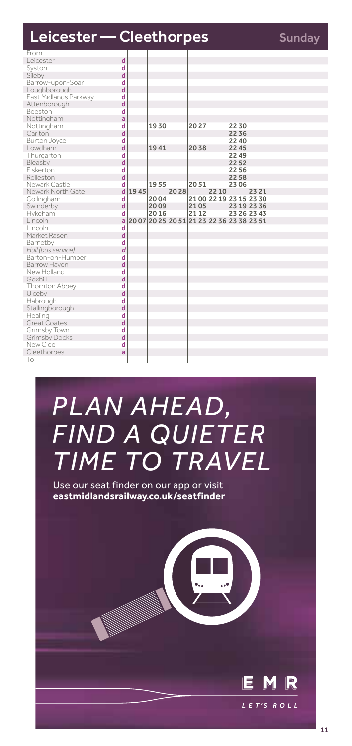| Leicester - Cleethorpes |   | <b>Sunday</b> |      |                                           |       |                         |             |       |  |  |
|-------------------------|---|---------------|------|-------------------------------------------|-------|-------------------------|-------------|-------|--|--|
| From                    |   |               |      |                                           |       |                         |             |       |  |  |
| I eicester              | d |               |      |                                           |       |                         |             |       |  |  |
| Syston                  | d |               |      |                                           |       |                         |             |       |  |  |
| Sileby                  | d |               |      |                                           |       |                         |             |       |  |  |
| Barrow-upon-Soar        | d |               |      |                                           |       |                         |             |       |  |  |
| Loughborough            | d |               |      |                                           |       |                         |             |       |  |  |
| East Midlands Parkway   | d |               |      |                                           |       |                         |             |       |  |  |
| Attenborough            | d |               |      |                                           |       |                         |             |       |  |  |
| Beeston                 | d |               |      |                                           |       |                         |             |       |  |  |
| Nottingham              | a |               |      |                                           |       |                         |             |       |  |  |
| Nottingham              | d |               | 1930 |                                           | 2027  |                         | 2230        |       |  |  |
| Carlton                 | d |               |      |                                           |       |                         | 2236        |       |  |  |
| Burton Joyce            | d |               |      |                                           |       |                         | 2240        |       |  |  |
| Lowdham                 | d |               | 1941 |                                           | 2038  |                         | 2245        |       |  |  |
| Thurgarton              | d |               |      |                                           |       |                         | 2249        |       |  |  |
| Bleasby                 | d |               |      |                                           |       |                         | 2252        |       |  |  |
| Fiskerton               | d |               |      |                                           |       |                         | 2256        |       |  |  |
| Rolleston               | d |               |      |                                           |       |                         | 2258        |       |  |  |
| Newark Castle           | d |               | 1955 |                                           | 2051  |                         | 2306        |       |  |  |
| Newark North Gate       | d | 1945          |      | 2028                                      |       | 22 10                   |             | 23 21 |  |  |
| Collingham              | d |               | 2004 |                                           |       | 21 00 22 19 23 15 23 30 |             |       |  |  |
| Swinderby               | d |               | 2009 |                                           | 2105  |                         | 23 19 23 36 |       |  |  |
| Hykeham                 | d |               | 2016 |                                           | 21 12 |                         | 23 26 23 43 |       |  |  |
| Lincoln                 | a |               |      | 20 07 20 25 20 51 21 23 22 36 23 38 23 51 |       |                         |             |       |  |  |
| Lincoln                 | d |               |      |                                           |       |                         |             |       |  |  |
| Market Rasen            | d |               |      |                                           |       |                         |             |       |  |  |
| Barnetby                | d |               |      |                                           |       |                         |             |       |  |  |
| Hull (bus service)      | d |               |      |                                           |       |                         |             |       |  |  |
| Barton-on-Humber        | d |               |      |                                           |       |                         |             |       |  |  |
| Barrow Haven            | d |               |      |                                           |       |                         |             |       |  |  |
| New Holland             | d |               |      |                                           |       |                         |             |       |  |  |
| Goxhill                 | d |               |      |                                           |       |                         |             |       |  |  |
| Thornton Abbey          | d |               |      |                                           |       |                         |             |       |  |  |
| Ulceby                  | d |               |      |                                           |       |                         |             |       |  |  |
| Habrough                | d |               |      |                                           |       |                         |             |       |  |  |
| Stallingborough         | d |               |      |                                           |       |                         |             |       |  |  |
| Healing                 | d |               |      |                                           |       |                         |             |       |  |  |
| Great Coates            | d |               |      |                                           |       |                         |             |       |  |  |
| Grimsby Town            | d |               |      |                                           |       |                         |             |       |  |  |
| <b>Grimsby Docks</b>    | d |               |      |                                           |       |                         |             |       |  |  |
| New Clee                | d |               |      |                                           |       |                         |             |       |  |  |
| Cleethorpes             | a |               |      |                                           |       |                         |             |       |  |  |
| To                      |   |               |      |                                           |       |                         |             |       |  |  |

# *PLAN AHEAD, FIND A QUIETER TIME TO TRAVEL*

Use our seat finder on our app or visit **eastmidlandsrailway.co.uk/seatfinder**



E

R M  $IFT'S$  ROIL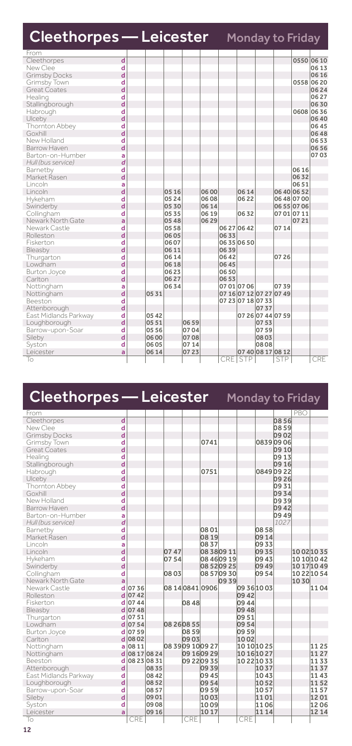| <b>Cleethorpes — Leicester</b> |   |       |       |      |       |       | <b>Monday to Friday</b> |      |                   |             |           |
|--------------------------------|---|-------|-------|------|-------|-------|-------------------------|------|-------------------|-------------|-----------|
| From                           |   |       |       |      |       |       |                         |      |                   |             |           |
| Cleethorpes                    | d |       |       |      |       |       |                         |      |                   |             | 0550 0610 |
| New Clee                       | d |       |       |      |       |       |                         |      |                   |             | 0613      |
| <b>Grimsby Docks</b>           | d |       |       |      |       |       |                         |      |                   |             | 0616      |
| Grimsby Town                   | d |       |       |      |       |       |                         |      |                   | 0558        | 06 20     |
| Great Coates                   | d |       |       |      |       |       |                         |      |                   |             | 0624      |
| Healing                        | d |       |       |      |       |       |                         |      |                   |             | 0627      |
| Stallingborough                | d |       |       |      |       |       |                         |      |                   |             | 0630      |
| Habrough                       | d |       |       |      |       |       |                         |      |                   |             | 0608 0636 |
| Ulceby                         | d |       |       |      |       |       |                         |      |                   |             | 0640      |
| Thornton Abbey                 | d |       |       |      |       |       |                         |      |                   |             | 0645      |
| Goxhill                        | d |       |       |      |       |       |                         |      |                   |             | 0648      |
| New Holland                    | d |       |       |      |       |       |                         |      |                   |             | 0653      |
| Barrow Haven                   | d |       |       |      |       |       |                         |      |                   |             | 0656      |
| Barton-on-Humber               | a |       |       |      |       |       |                         |      |                   |             | 0703      |
| Hull (bus service)             | d |       |       |      |       |       |                         |      |                   |             |           |
| Barnetby                       | d |       |       |      |       |       |                         |      |                   | 06 16       |           |
| Market Rasen                   | d |       |       |      |       |       |                         |      |                   | 0632        |           |
| Lincoln                        | a |       |       |      |       |       |                         |      |                   | 0651        |           |
| Lincoln                        | d |       | 05 16 |      | 06 00 |       | 06 14                   |      |                   | 06 40 06 52 |           |
| Hykeham                        | d |       | 05 24 |      | 0608  |       | 0622                    |      |                   | 06 48 07 00 |           |
| Swinderby                      | d |       | 0530  |      | 06 14 |       |                         |      |                   | 06 55 07 06 |           |
| Collingham                     | d |       | 0535  |      | 06 19 |       | 0632                    |      |                   | 07 01 07 11 |           |
| Newark North Gate              | a |       | 0548  |      | 06 29 |       |                         |      |                   | 0721        |           |
| Newark Castle                  | d |       | 0558  |      |       |       | 06 27 06 42             |      | 0714              |             |           |
| Rolleston                      | d |       | 06 05 |      |       | 0633  |                         |      |                   |             |           |
| Fiskerton                      | d |       | 0607  |      |       |       | 0635 0650               |      |                   |             |           |
| Bleasby                        | d |       | 06 11 |      |       | 0639  |                         |      |                   |             |           |
| Thurgarton                     | d |       | 0614  |      |       | 0642  |                         |      | 0726              |             |           |
| Lowdham                        | d |       | 06 18 |      |       | 06 45 |                         |      |                   |             |           |
| Burton Joyce                   | d |       | 0623  |      |       | 0650  |                         |      |                   |             |           |
| Carlton                        | d |       | 0627  |      |       | 0653  |                         |      |                   |             |           |
| Nottingham                     | a |       | 0634  |      |       |       | 07 01 07 06             |      | 0739              |             |           |
| Nottingham                     | d | 0531  |       |      |       |       | 07 16 07 12 07 27 07 49 |      |                   |             |           |
| Beeston                        | d |       |       |      |       |       | 07 23 07 18 07 33       |      |                   |             |           |
| Attenborough                   | d |       |       |      |       |       |                         | 0737 |                   |             |           |
| East Midlands Parkway          | d | 05 42 |       |      |       |       |                         |      | 07 26 07 44 07 59 |             |           |
| Loughborough                   | d | 0551  |       | 0659 |       |       |                         | 0753 |                   |             |           |
| Barrow-upon-Soar               | d | 05 56 |       | 0704 |       |       |                         | 0759 |                   |             |           |
| Sileby                         | d | 06 00 |       | 0708 |       |       |                         | 0803 |                   |             |           |
| Syston                         | d | 0605  |       | 0714 |       |       |                         | 0808 |                   |             |           |
| Leicester                      | a | 06 14 |       | 0723 |       |       |                         |      | 07 40 08 17 08 12 |             |           |
| To                             |   |       |       |      |       |       | CRE STP                 |      | <b>STP</b>        |             | CRE       |

| Cleethorpes — Leicester         |        |             |       |             |       |                   |                            |             |                | <b>Monday to Friday</b> |      |             |
|---------------------------------|--------|-------------|-------|-------------|-------|-------------------|----------------------------|-------------|----------------|-------------------------|------|-------------|
| From                            |        |             |       |             |       |                   |                            |             |                |                         | PBO  |             |
| Cleethorpes                     | d      |             |       |             |       |                   |                            |             |                | 0856                    |      |             |
| New Clee                        | d      |             |       |             |       |                   |                            |             |                | 0859                    |      |             |
| <b>Grimsby Docks</b>            | d      |             |       |             |       |                   |                            |             |                | 0902                    |      |             |
| Grimsby Town                    | d      |             |       |             |       | 0741              |                            |             |                | 0839 09 06              |      |             |
| Great Coates                    | d      |             |       |             |       |                   |                            |             |                | 09 10                   |      |             |
| Healing                         | d      |             |       |             |       |                   |                            |             |                | 09 13                   |      |             |
| Stallingborough                 | d      |             |       |             |       |                   |                            |             |                | 0916                    |      |             |
| Habrough                        | d      |             |       |             |       | 0751              |                            |             |                | 08490922                |      |             |
| Ulceby                          | d      |             |       |             |       |                   |                            |             |                | 09 26                   |      |             |
| Thornton Abbey                  | d      |             |       |             |       |                   |                            |             |                | 0931                    |      |             |
| Goxhill                         | d      |             |       |             |       |                   |                            |             |                | 0934                    |      |             |
| New Holland                     | d      |             |       |             |       |                   |                            |             |                | 0939                    |      |             |
| Barrow Haven                    | d      |             |       |             |       |                   |                            |             |                | 0942                    |      |             |
| Barton-on-Humber                | a      |             |       |             |       |                   |                            |             |                | 0949                    |      |             |
| Hull (bus service)              | d      |             |       |             |       |                   |                            |             |                | 1027                    |      |             |
| Barnetby                        | d      |             |       |             |       | 08 01             |                            |             | 0858           |                         |      |             |
| Market Rasen                    | d      |             |       |             |       | 08 19             |                            |             | 09 14          |                         |      |             |
| Lincoln                         | a      |             |       |             |       | 0837              |                            |             | 0933           |                         |      |             |
| Lincoln                         | d      |             |       | 07 47       |       |                   | 08 38 09 11                |             | 09 35          |                         |      | 1002 1035   |
| Hykeham                         | d      |             |       | 0754        |       |                   | 08 46 09 19                |             | 09 43          |                         |      | 10 10 10 42 |
| Swinderby                       | d      |             |       |             |       |                   | 08 52 09 25<br>08 57 09 30 |             | 09 49<br>09 54 |                         |      | 10 17 10 49 |
| Collingham<br>Newark North Gate | d      |             |       | 08 03       |       |                   | 0939                       |             |                |                         | 1030 | 10 22 10 54 |
| Newark Castle                   | a<br>d | 0736        |       |             |       | 08 14 0841 0906   |                            | 09361003    |                |                         |      | 1104        |
| Rolleston                       | d      | 0742        |       |             |       |                   |                            | 0942        |                |                         |      |             |
| Fiskerton                       | d      | 0744        |       |             | 0848  |                   |                            | 0944        |                |                         |      |             |
| Bleasby                         | d      | 0748        |       |             |       |                   |                            | 0948        |                |                         |      |             |
| Thurgarton                      | d      | 0751        |       |             |       |                   |                            | 0951        |                |                         |      |             |
| Lowdham                         | d      | 0754        |       | 08 26 08 55 |       |                   |                            | 0954        |                |                         |      |             |
| Burton Joyce                    | d      | 0759        |       |             | 08 59 |                   |                            | 0959        |                |                         |      |             |
| Carlton                         | d      | 08 02       |       |             | 0903  |                   |                            | 1002        |                |                         |      |             |
| Nottingham                      | a      | 08 11       |       |             |       | 08 39 09 10 09 27 |                            | 10 10 10 25 |                |                         |      | 1125        |
| Nottingham                      | d      | 08 17 08 24 |       |             |       | 09 16 09 29       |                            | 1016 1027   |                |                         |      | 1127        |
| Beeston                         | d      | 08230831    |       |             |       | 09 22 09 35       |                            | 1022 1033   |                |                         |      | 1133        |
| Attenborough                    | d      |             | 0835  |             |       | 0939              |                            |             | 1037           |                         |      | 1137        |
| East Midlands Parkway           | d      |             | 08 42 |             |       | 0945              |                            |             | 1043           |                         |      | 1143        |
| Loughborough                    | d      |             | 0852  |             |       | 09 54             |                            |             | 1052           |                         |      | 1152        |
| Barrow-upon-Soar                | d      |             | 0857  |             |       | 0959              |                            |             | 1057           |                         |      | 1157        |
| Sileby                          | d      |             | 09 01 |             |       | 1003              |                            |             | 1101           |                         |      | 1201        |
| Syston                          | d      |             | 0908  |             |       | 1009              |                            |             | 1106           |                         |      | 1206        |
| Leicester                       | a      |             | 09 16 |             |       | 1017              |                            |             | 11 14          |                         |      | 12 14       |
| To                              |        | CRE         |       |             | CRE   |                   |                            | CRE         |                |                         |      |             |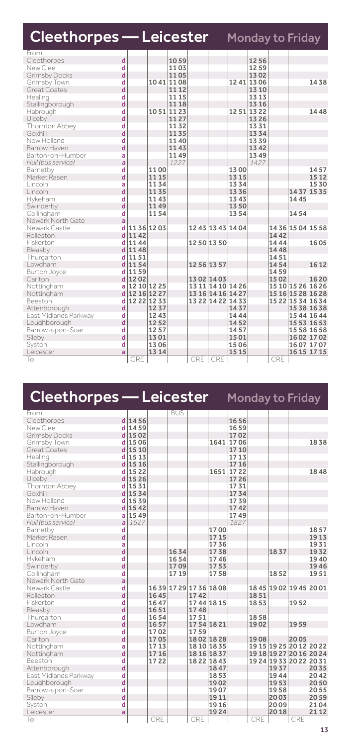| <b>Cleethorpes - Leicester</b> Monday to Friday |   |               |           |       |             |                   |       |             |      |                   |                   |
|-------------------------------------------------|---|---------------|-----------|-------|-------------|-------------------|-------|-------------|------|-------------------|-------------------|
| From                                            |   |               |           |       |             |                   |       |             |      |                   |                   |
| Cleethorpes                                     | d |               |           | 1059  |             |                   |       | 1256        |      |                   |                   |
| New Clee                                        | d |               |           | 1103  |             |                   |       | 1259        |      |                   |                   |
| <b>Grimsby Docks</b>                            | d |               |           | 1105  |             |                   |       | 1302        |      |                   |                   |
| Grimsby Town                                    | d |               | 1041 1108 |       |             |                   |       | 1241 1306   |      |                   | 1438              |
| Great Coates                                    | d |               |           | 11 12 |             |                   |       | 13 10       |      |                   |                   |
| Healing                                         | d |               |           | 11 15 |             |                   |       | 13 13       |      |                   |                   |
| Stallingborough                                 | d |               |           | 11 18 |             |                   |       | 13 16       |      |                   |                   |
| Habrough                                        | d |               | 1051 1123 |       |             |                   |       | 12 51 13 22 |      |                   | 1448              |
| Ulceby                                          | d |               |           | 1127  |             |                   |       | 1326        |      |                   |                   |
| Thornton Abbey                                  | d |               |           | 1132  |             |                   |       | 1331        |      |                   |                   |
| Goxhill                                         | d |               |           | 1135  |             |                   |       | 1334        |      |                   |                   |
| New Holland                                     | d |               |           | 1140  |             |                   |       | 1339        |      |                   |                   |
| Barrow Haven                                    | d |               |           | 1143  |             |                   |       | 1342        |      |                   |                   |
| Barton-on-Humber                                | a |               |           | 1149  |             |                   |       | 1349        |      |                   |                   |
| Hull (bus service)                              | a |               |           | 1227  |             |                   |       | 1427        |      |                   |                   |
| Barnetby                                        | d |               | 1100      |       |             |                   | 1300  |             |      |                   | 1457              |
| Market Rasen                                    | d |               | 1115      |       |             |                   | 1315  |             |      |                   | 15 12             |
| Lincoln                                         | a |               | 1134      |       |             |                   | 1334  |             |      |                   | 1530              |
| Lincoln                                         | d |               | 1135      |       |             |                   | 1336  |             |      |                   | 14 37 15 35       |
| Hykeham                                         | d |               | 1143      |       |             |                   | 1343  |             |      | 1445              |                   |
| Swinderby                                       | d |               | 1149      |       |             |                   | 1350  |             |      |                   |                   |
| Collingham                                      | d |               | 1154      |       |             |                   | 1354  |             |      | 1454              |                   |
| Newark North Gate                               | a |               |           |       |             |                   |       |             |      |                   |                   |
| Newark Castle                                   |   | d 1136 1203   |           |       |             | 12 43 13 43 14 04 |       |             |      |                   | 14 36 15 04 15 58 |
| Rolleston                                       |   | $d$ 1142      |           |       |             |                   |       |             | 1442 |                   |                   |
| Fiskerton                                       |   | $d$ 1144      |           |       | 1250 1350   |                   |       |             | 1444 |                   | 1605              |
| Bleasby                                         |   | $d$ 1148      |           |       |             |                   |       |             | 1448 |                   |                   |
| Thurgarton                                      | d | 1151          |           |       |             |                   |       |             | 1451 |                   |                   |
| Lowdham                                         |   | d 1154        |           |       | 12 56 13 57 |                   |       |             | 1454 |                   | 16 12             |
| Burton Joyce                                    | d | 1159          |           |       |             |                   |       |             | 1459 |                   |                   |
| Carlton                                         |   | d 1202        |           |       |             | 13 02 14 03       |       |             | 1502 |                   | 1620              |
| Nottingham                                      | a | 12 10 12 25   |           |       |             | 13 11 14 10 14 26 |       |             |      |                   | 15 10 15 26 16 26 |
| Nottingham                                      |   | d 12 16 12 27 |           |       |             | 13 16 14 16 14 27 |       |             |      |                   | 15 16 15 28 16 28 |
| Beeston                                         | d | 12 22 12 33   |           |       |             | 13 22 14 22 14 33 |       |             |      | 15 22 15 34 16 34 |                   |
| Attenborough                                    | d |               | 1237      |       |             |                   | 1437  |             |      |                   | 15 38 16 38       |
| East Midlands Parkway                           | d |               | 1243      |       |             |                   | 1444  |             |      |                   | 15 44 16 44       |
| Loughborough                                    | d |               | 1252      |       |             |                   | 1452  |             |      |                   | 15 53 16 53       |
| Barrow-upon-Soar                                | d |               | 1257      |       |             |                   | 1457  |             |      |                   | 15 58 16 58       |
| Sileby                                          | d |               | 1301      |       |             |                   | 1501  |             |      |                   | 16 02 17 02       |
| Syston                                          | d |               | 1306      |       |             |                   | 1506  |             |      |                   | 1607 1707         |
| Leicester                                       | a |               | 1314      |       |             |                   | 15 15 |             |      |                   | 16 15 17 15       |
| To                                              |   | CRE           |           |       | <b>CRE</b>  | CRE               |       |             | CRE  |                   |                   |

| Cleethorpes — Leicester               |             |           |              |                     |             |                          | Monday to Friday |      |                         |      |                         |
|---------------------------------------|-------------|-----------|--------------|---------------------|-------------|--------------------------|------------------|------|-------------------------|------|-------------------------|
| From                                  |             |           |              | <b>BUS</b>          |             |                          |                  |      |                         |      |                         |
| Cleethorpes                           |             | $d$ 1456  |              |                     |             |                          | 1656             |      |                         |      |                         |
| New Clee                              | d           | 1459      |              |                     |             |                          | 1659             |      |                         |      |                         |
| Grimsby Docks                         |             | d 15 02   |              |                     |             |                          | 1702             |      |                         |      |                         |
| Grimsby Town                          |             | d 15 06   |              |                     |             |                          | 1641 1706        |      |                         |      | 1838                    |
| <b>Great Coates</b>                   | d           | 15 10     |              |                     |             |                          | 17 10            |      |                         |      |                         |
| Healing                               |             | d 15 13   |              |                     |             |                          | 17 13            |      |                         |      |                         |
| Stallingborough                       |             | $d$ 15 16 |              |                     |             |                          | 1716             |      |                         |      |                         |
| Habrough                              |             | 15 22     |              |                     |             | 1651                     | 1722             |      |                         |      | 1848                    |
| Ulceby                                |             | $d$ 15 26 |              |                     |             |                          | 1726             |      |                         |      |                         |
| Thornton Abbey                        |             | d 1531    |              |                     |             |                          | 1731             |      |                         |      |                         |
| Goxhill                               |             | 1534      |              |                     |             |                          | 1734             |      |                         |      |                         |
| New Holland                           |             | d 1539    |              |                     |             |                          | 1739             |      |                         |      |                         |
| Barrow Haven                          |             | $d$ 1542  |              |                     |             |                          | 1742             |      |                         |      |                         |
| Barton-on-Humber                      | a           | 1549      |              |                     |             |                          | 1749             |      |                         |      |                         |
| Hull (bus service)                    | a           | 1627      |              |                     |             |                          | 1827             |      |                         |      |                         |
| Barnetby                              | d           |           |              |                     |             | 1700                     |                  |      |                         |      | 1857                    |
| Market Rasen                          | d           |           |              |                     |             | 17 15                    |                  |      |                         |      | 1913                    |
| Lincoln                               | a           |           |              |                     |             | 1736                     |                  |      |                         |      | 1931                    |
| Lincoln                               | d           |           |              | 1634                |             | 1738                     |                  |      | 1837                    |      | 1932                    |
| Hykeham                               | d           |           |              | 1654                |             | 1746                     |                  |      |                         |      | 1940                    |
| Swinderby                             | d           |           |              | 1709                |             | 1753                     |                  |      |                         |      | 1946                    |
| Collingham                            | d           |           |              | 1719                |             | 1758                     |                  |      | 1852                    |      | 1951                    |
| Newark North Gate                     | a           |           |              |                     |             |                          |                  |      |                         |      |                         |
| Newark Castle                         | d           |           |              | 1639 1729 1736 1808 |             |                          |                  |      | 18 45 19 02 19 45 20 01 |      |                         |
| Rolleston                             | $\mathbf d$ |           | 1645         |                     | 1742        |                          |                  | 1851 |                         |      |                         |
| Fiskerton                             | d           |           | 1647         |                     | 1744 1815   |                          |                  | 1853 |                         | 1952 |                         |
| Bleasby                               | d           |           | 1651         |                     | 1748        |                          |                  |      |                         |      |                         |
| Thurgarton                            | d           |           | 1654         |                     | 1751        |                          |                  | 1858 |                         |      |                         |
| Lowdham                               | d           |           | 1657         |                     | 1754 1821   |                          |                  | 1902 |                         | 1959 |                         |
| Burton Joyce                          | d           |           | 1702         |                     | 1759        |                          |                  |      |                         |      |                         |
| Carlton                               | d           |           | 1705<br>1713 |                     |             | 1802 1828<br>18 10 18 35 |                  | 1908 | 19 15 19 25 20 12 20 22 | 2005 |                         |
| Nottingham                            | ă<br>d      |           |              |                     |             |                          |                  |      |                         |      |                         |
| Nottingham<br>Beeston                 | d           |           | 1716<br>1722 |                     | 18 22 18 43 | 18 16 18 37              |                  |      | 19 24 19 33 20 22 20 31 |      | 19 18 19 27 20 16 20 24 |
|                                       | d           |           |              |                     |             | 1847                     |                  |      | 1937                    |      | 2035                    |
| Attenborough<br>East Midlands Parkway | d           |           |              |                     |             | 1853                     |                  |      | 1944                    |      | 2042                    |
| Loughborough                          | d           |           |              |                     |             | 1902                     |                  |      | 1953                    |      | 2050                    |
| Barrow-upon-Soar                      | d           |           |              |                     |             | 1907                     |                  |      | 1958                    |      | 2055                    |
|                                       | d           |           |              |                     |             | 1911                     |                  |      | 2003                    |      | 2059                    |
| Sileby<br>Syston                      | d           |           |              |                     |             | 1916                     |                  |      | 2009                    |      | 2104                    |
|                                       | a           |           |              |                     |             | 1924                     |                  |      | 2018                    |      | 21 12                   |
| Leicester                             |             |           |              |                     |             |                          |                  |      |                         |      |                         |

To I CRE CRE CRE CRE CRE CRE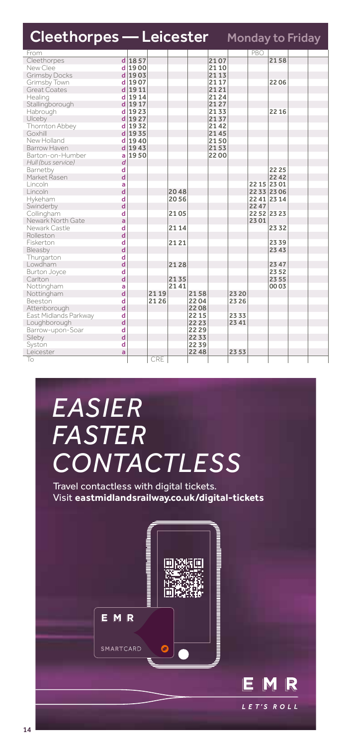| <b>Cleethorpes - Leicester</b> Monday to Friday |   |          |      |      |       |       |       |             |             |  |
|-------------------------------------------------|---|----------|------|------|-------|-------|-------|-------------|-------------|--|
| From                                            |   |          |      |      |       |       |       | PBO         |             |  |
| Cleethorpes                                     |   | $d$ 1857 |      |      |       | 2107  |       |             | 2158        |  |
| New Clee                                        |   | $d$ 1900 |      |      |       | 21 10 |       |             |             |  |
| <b>Grimsby Docks</b>                            |   | d 1903   |      |      |       | 21 13 |       |             |             |  |
| Grimsby Town                                    |   | d 1907   |      |      |       | 21 17 |       |             | 2206        |  |
| Great Coates                                    |   | $d$ 1911 |      |      |       | 2121  |       |             |             |  |
| Healing                                         |   | d 1914   |      |      |       | 2124  |       |             |             |  |
| Stallingborough                                 | d | 1917     |      |      |       | 2127  |       |             |             |  |
| Habrough                                        |   | d 1923   |      |      |       | 2133  |       |             | 22 16       |  |
| Ulceby                                          |   | d 1927   |      |      |       | 2137  |       |             |             |  |
| Thornton Abbey                                  |   | d 1932   |      |      |       | 2142  |       |             |             |  |
| Goxhill                                         |   | d 1935   |      |      |       | 2145  |       |             |             |  |
| New Holland                                     |   | d 1940   |      |      |       | 2150  |       |             |             |  |
| Barrow Haven                                    |   | d 1943   |      |      |       | 2153  |       |             |             |  |
| Barton-on-Humber                                | a | 1950     |      |      |       | 2200  |       |             |             |  |
| Hull (bus service)                              | d |          |      |      |       |       |       |             |             |  |
| Barnetby                                        | d |          |      |      |       |       |       |             | 22 25       |  |
| Market Rasen                                    | d |          |      |      |       |       |       |             | 22 42       |  |
| Lincoln                                         | a |          |      |      |       |       |       | 22 15 23 01 |             |  |
| Lincoln                                         | d |          |      | 2048 |       |       |       |             | 22 33 23 06 |  |
| Hykeham                                         | d |          |      | 2056 |       |       |       | 22 41 23 14 |             |  |
| Swinderby                                       | d |          |      |      |       |       |       | 2247        |             |  |
| Collingham                                      | d |          |      | 2105 |       |       |       | 22 52 23 23 |             |  |
| Newark North Gate                               | a |          |      |      |       |       |       | 2301        |             |  |
| Newark Castle                                   | d |          |      | 2114 |       |       |       |             | 2332        |  |
| Rolleston                                       | d |          |      |      |       |       |       |             |             |  |
| Fiskerton                                       | d |          |      | 2121 |       |       |       |             | 2339        |  |
| Bleasby                                         | d |          |      |      |       |       |       |             | 23 43       |  |
| Thurgarton                                      | d |          |      |      |       |       |       |             |             |  |
| Lowdham                                         | d |          |      | 2128 |       |       |       |             | 23 47       |  |
| Burton Joyce                                    | d |          |      |      |       |       |       |             | 23 52       |  |
| Carlton                                         | d |          |      | 2135 |       |       |       |             | 23 55       |  |
| Nottingham                                      | a |          |      | 2141 |       |       |       |             | 00 03       |  |
| Nottingham                                      | d |          | 2119 |      | 2158  |       | 23 20 |             |             |  |
| Beeston                                         | d |          | 2126 |      | 2204  |       | 23 26 |             |             |  |
| Attenborough                                    | d |          |      |      | 2208  |       |       |             |             |  |
| East Midlands Parkway                           | d |          |      |      | 22 15 |       | 2333  |             |             |  |
| Loughborough                                    | d |          |      |      | 22 23 |       | 2341  |             |             |  |
| Barrow-upon-Soar                                | d |          |      |      | 2229  |       |       |             |             |  |
| Sileby                                          | d |          |      |      | 2233  |       |       |             |             |  |
| Syston                                          | d |          |      |      | 2239  |       |       |             |             |  |
| Leicester                                       | ă |          |      |      | 22 48 |       | 2353  |             |             |  |
| To                                              |   |          | CRE  |      |       |       |       |             |             |  |

# *EASIER FASTER CONTACTLESS*

Travel contactless with digital tickets. Visit **eastmidlandsrailway.co.uk/digital-tickets**

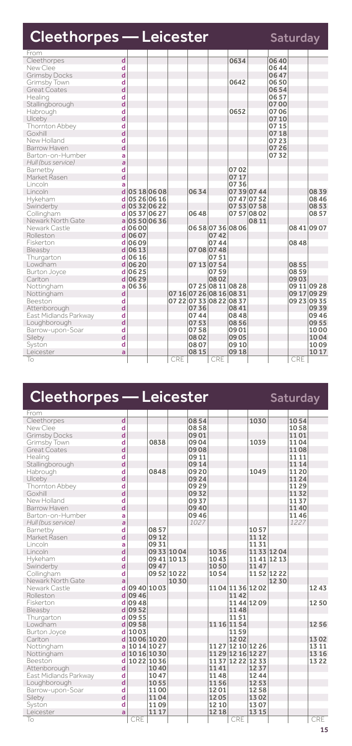| <b>Cleethorpes - Leicester</b> |                         |           |               |       |       |             |                         |             |       | Saturday |             |
|--------------------------------|-------------------------|-----------|---------------|-------|-------|-------------|-------------------------|-------------|-------|----------|-------------|
| From                           |                         |           |               |       |       |             |                         |             |       |          |             |
| Cleethorpes                    | $\overline{\mathsf{d}}$ |           |               |       |       |             | 0634                    |             | 06 40 |          |             |
| New Clee                       | d                       |           |               |       |       |             |                         |             | 0644  |          |             |
| <b>Grimsby Docks</b>           | d                       |           |               |       |       |             |                         |             | 06 47 |          |             |
| Grimsby Town                   | d                       |           |               |       |       |             | 0642                    |             | 0650  |          |             |
| <b>Great Coates</b>            | d                       |           |               |       |       |             |                         |             | 0654  |          |             |
| Healing                        | d                       |           |               |       |       |             |                         |             | 0657  |          |             |
| Stallingborough                | d                       |           |               |       |       |             |                         |             | 0700  |          |             |
| Habrough                       | d                       |           |               |       |       |             | 0652                    |             | 0706  |          |             |
| Ulceby                         | d                       |           |               |       |       |             |                         |             | 07 10 |          |             |
| Thornton Abbey                 | d                       |           |               |       |       |             |                         |             | 0715  |          |             |
| Goxhill                        | d                       |           |               |       |       |             |                         |             | 0718  |          |             |
| New Holland                    | d                       |           |               |       |       |             |                         |             | 0723  |          |             |
| Barrow Haven                   | d                       |           |               |       |       |             |                         |             | 07 26 |          |             |
| Barton-on-Humber               | ă                       |           |               |       |       |             |                         |             | 0732  |          |             |
| Hull (bus service)             | a                       |           |               |       |       |             |                         |             |       |          |             |
| Barnetby                       | d                       |           |               |       |       |             | 0702                    |             |       |          |             |
| Market Rasen                   | d                       |           |               |       |       |             | 0717                    |             |       |          |             |
| Lincoln                        | a                       |           |               |       |       |             | 0736                    |             |       |          |             |
| Lincoln                        |                         |           | d 05 18 06 08 |       | 0634  |             |                         | 0739 0744   |       |          | 0839        |
| Hykeham                        | d                       |           | 05 26 06 16   |       |       |             |                         | 07 47 07 52 |       |          | 08 46       |
| Swinderby                      |                         |           | d 05 32 06 22 |       |       |             |                         | 07 53 07 58 |       |          | 08 53       |
| Collingham                     | d                       |           | 05 37 06 27   |       | 0648  |             |                         | 07570802    |       |          | 0857        |
| Newark North Gate              |                         |           | a 05 50 06 36 |       |       |             |                         | 0811        |       |          |             |
| Newark Castle                  |                         | $d$ 0600  |               |       |       |             | 065807360806            |             |       |          | 08 41 09 07 |
| Rolleston                      |                         | d 06 07   |               |       |       | 0742        |                         |             |       |          |             |
| Fiskerton                      |                         | $d$ 0609  |               |       |       | 0744        |                         |             |       | 08 48    |             |
| Bleasby                        |                         | $d$ 06 13 |               |       |       | 07 08 07 48 |                         |             |       |          |             |
| Thurgarton                     |                         | $d$ 06 16 |               |       |       | 0751        |                         |             |       |          |             |
| Lowdham                        |                         | $d$ 06 20 |               |       |       | 07 13 07 54 |                         |             |       | 08 55    |             |
| <b>Burton Joyce</b>            | d                       | 0625      |               |       |       | 0759        |                         |             |       | 08 59    |             |
| Carlton                        |                         | $d$ 06 29 |               |       |       | 0802        |                         |             |       | 0903     |             |
| Nottingham                     | a                       | 0636      |               |       |       |             | 07 25 08 11 08 28       |             |       |          | 09 11 09 28 |
| Nottingham                     | d                       |           |               |       |       |             | 07 16 07 26 08 16 08 31 |             |       |          | 09 17 09 29 |
| Beeston                        | d                       |           |               |       |       |             | 07 22 07 33 08 22 08 37 |             |       |          | 09 23 09 35 |
| Attenborough                   | d                       |           |               |       | 0736  |             | 0841                    |             |       |          | 0939        |
| East Midlands Parkway          | d                       |           |               |       | 0744  |             | 0848                    |             |       |          | 0946        |
| Loughborough                   | d                       |           |               |       | 0753  |             | 0856                    |             |       |          | 09 55       |
| Barrow-upon-Soar               | d                       |           |               |       | 0758  |             | 0901                    |             |       |          | 1000        |
| Sileby                         | d                       |           |               |       | 0802  |             | 0905                    |             |       |          | 1004        |
| Syston                         | d                       |           |               |       | 0807  |             | 09 10                   |             |       |          | 1009        |
| Leicester                      | a                       |           |               |       | 08 15 |             | 0918                    |             |       |          | 1017        |
| To                             |                         |           |               | CRE I |       | <b>CRE</b>  |                         |             |       | CRE      |             |

# Cleethorpes — Leicester Saturday From<br>Cleethorpes

| Cleethorpes           | d                       |               |             |      | 0854  |             |                   | 1030      |             | 1054  |       |
|-----------------------|-------------------------|---------------|-------------|------|-------|-------------|-------------------|-----------|-------------|-------|-------|
| New Clee              | d                       |               |             |      | 0858  |             |                   |           |             | 1058  |       |
| <b>Grimsby Docks</b>  | d                       |               |             |      | 0901  |             |                   |           |             | 1101  |       |
| Grimsby Town          | d                       |               | 0838        |      | 09 04 |             |                   | 1039      |             | 1104  |       |
| <b>Great Coates</b>   | d                       |               |             |      | 0908  |             |                   |           |             | 1108  |       |
| Healing               | d                       |               |             |      | 09 11 |             |                   |           |             | 11 11 |       |
| Stallingborough       | d                       |               |             |      | 0914  |             |                   |           |             | 11 14 |       |
| Habrough              | d                       |               | 0848        |      | 0920  |             |                   | 1049      |             | 1120  |       |
| Ulceby                | d                       |               |             |      | 0924  |             |                   |           |             | 1124  |       |
| Thornton Abbey        | d                       |               |             |      | 0929  |             |                   |           |             | 1129  |       |
| Goxhill               | d                       |               |             |      | 0932  |             |                   |           |             | 1132  |       |
| New Holland           | d                       |               |             |      | 0937  |             |                   |           |             | 1137  |       |
| Barrow Haven          | d                       |               |             |      | 0940  |             |                   |           |             | 1140  |       |
| Barton-on-Humber      | a                       |               |             |      | 0946  |             |                   |           |             | 1146  |       |
| Hull (bus service)    | $\overline{a}$          |               |             |      | 1027  |             |                   |           |             | 1227  |       |
| Barnetby              | d                       |               | 0857        |      |       |             |                   | 1057      |             |       |       |
| Market Rasen          | d                       |               | 0912        |      |       |             |                   | 11 12     |             |       |       |
| Lincoln               | a                       |               | 0931        |      |       |             |                   | 1131      |             |       |       |
| Lincoln               | d                       |               | 0933 1004   |      |       | 1036        |                   |           | 11 33 12 04 |       |       |
| Hykeham               | d                       |               | 09 41 10 13 |      |       | 1043        |                   |           | 1141 12 13  |       |       |
| Swinderby             | d                       |               | 0947        |      |       | 1050        |                   | 1147      |             |       |       |
| Collingham            | d                       |               | 09 52 10 22 |      |       | 1054        |                   |           | 1152 1222   |       |       |
| Newark North Gate     | a                       |               |             | 1030 |       |             |                   |           | 1230        |       |       |
| Newark Castle         | d                       | 09 40 10 03   |             |      |       |             | 11 04 11 36 12 02 |           |             |       | 1243  |
| Rolleston             | $\overline{\mathbf{d}}$ | 09 46         |             |      |       |             | 1142              |           |             |       |       |
| Fiskerton             |                         | d 0948        |             |      |       |             |                   | 1144 1209 |             |       | 1250  |
| Bleasby               |                         | d 09 52       |             |      |       |             | 1148              |           |             |       |       |
| Thurgarton            | d                       | 0955          |             |      |       |             | 1151              |           |             |       |       |
| Lowdham               |                         | $d$ 09 58     |             |      |       | 11 16 11 54 |                   |           |             |       | 1256  |
| Burton Joyce          | d                       | 1003          |             |      |       |             | 1159              |           |             |       |       |
| Carlton               |                         | d 10 06 10 20 |             |      |       |             | 1202              |           |             |       | 1302  |
| Nottingham            | ă                       | 1014 1027     |             |      |       |             | 11 27 12 10 12 26 |           |             |       | 13 11 |
| Nottingham            | d                       | 1016 1030     |             |      |       |             | 11 29 12 16 12 27 |           |             |       | 13 16 |
| Beeston               | d                       | 1022 1036     |             |      |       |             | 11 37 12 22 12 33 |           |             |       | 1322  |
| Attenborough          | d                       |               | 1040        |      |       | 1141        |                   | 1237      |             |       |       |
| East Midlands Parkway | d                       |               | 1047        |      |       | 1148        |                   | 1244      |             |       |       |
| Loughborough          | d                       |               | 1055        |      |       | 1156        |                   | 1253      |             |       |       |
| Barrow-upon-Soar      | d                       |               | 1100        |      |       | 1201        |                   | 1258      |             |       |       |
| Sileby                | d                       |               | 1104        |      |       | 1205        |                   | 1302      |             |       |       |
| Syston                | d                       |               | 1109        |      |       | 12 10       |                   | 1307      |             |       |       |
| Leicester             | a                       |               | 1117        |      |       | 12 18       |                   | 13 15     |             |       |       |
| To                    |                         | CRE           |             |      |       |             | CRE               |           |             |       | CRE   |
|                       |                         |               |             |      |       |             |                   |           |             |       |       |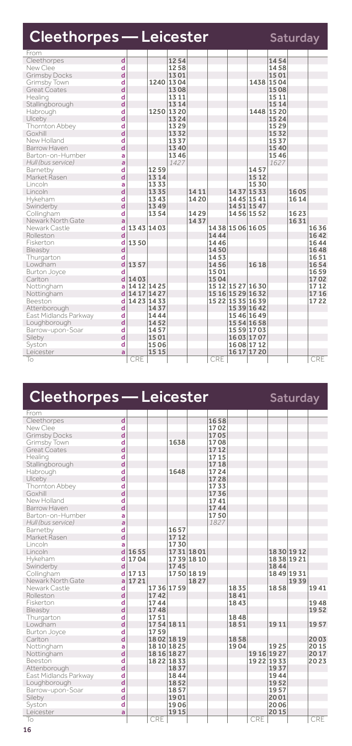| <b>Cleethorpes - Leicester</b> |                         |             |       |                |       |      |                   |             |              | <b>Saturday</b> |       |
|--------------------------------|-------------------------|-------------|-------|----------------|-------|------|-------------------|-------------|--------------|-----------------|-------|
| From                           |                         |             |       |                |       |      |                   |             |              |                 |       |
| Cleethorpes                    | $\overline{\mathsf{d}}$ |             |       | 1254           |       |      |                   |             | 1454         |                 |       |
| New Clee                       | d                       |             |       | 1258           |       |      |                   |             | 1458         |                 |       |
| <b>Grimsby Docks</b>           | d                       |             |       | 1301           |       |      |                   |             | 1501         |                 |       |
| Grimsby Town<br>Great Coates   | d<br>d                  |             |       | 1240 1304      |       |      |                   |             | 1438 1504    |                 |       |
|                                |                         |             |       | 1308           |       |      |                   |             | 1508         |                 |       |
| Healing                        | d<br>d                  |             |       | 13 11<br>13 14 |       |      |                   |             | 1511<br>1514 |                 |       |
| Stallingborough<br>Habrough    | d                       |             |       | 1250 1320      |       |      |                   |             | 1448 1520    |                 |       |
| Ulceby                         | d                       |             |       | 13 24          |       |      |                   |             | 1524         |                 |       |
|                                | d                       |             |       | 1329           |       |      |                   |             | 1529         |                 |       |
| Thornton Abbey<br>Goxhill      | d                       |             |       | 1332           |       |      |                   |             | 1532         |                 |       |
| New Holland                    | d                       |             |       | 1337           |       |      |                   |             | 1537         |                 |       |
| Barrow Haven                   | d                       |             |       | 13 40          |       |      |                   |             | 1540         |                 |       |
| Barton-on-Humber               | a                       |             |       | 1346           |       |      |                   |             | 1546         |                 |       |
| Hull (bus service)             | a                       |             |       | 1427           |       |      |                   |             | 1627         |                 |       |
| Barnetby                       | d                       |             | 1259  |                |       |      |                   | 1457        |              |                 |       |
| Market Rasen                   | d                       |             | 1314  |                |       |      |                   | 15 12       |              |                 |       |
| Lincoln                        | a                       |             | 1333  |                |       |      |                   | 1530        |              |                 |       |
| Lincoln                        | d                       |             | 1335  |                | 14 11 |      |                   | 1437 1533   |              | 1605            |       |
| Hykeham                        | d                       |             | 1343  |                | 1420  |      | 14 45 15 41       |             |              | 16 14           |       |
| Swinderby                      | d                       |             | 1349  |                |       |      | 1451 1547         |             |              |                 |       |
| Collingham                     | d                       |             | 1354  |                | 1429  |      | 14 56 15 52       |             |              | 1623            |       |
| Newark North Gate              | a                       |             |       |                | 1437  |      |                   |             |              | 1631            |       |
| Newark Castle                  | d                       | 13 43 14 03 |       |                |       |      | 14 38 15 06 16 05 |             |              |                 | 1636  |
| Rolleston                      | d                       |             |       |                |       | 1444 |                   |             |              |                 | 1642  |
| Fiskerton                      | d                       | 1350        |       |                |       | 1446 |                   |             |              |                 | 1644  |
| Bleasby                        | d                       |             |       |                |       | 1450 |                   |             |              |                 | 1648  |
| Thurgarton                     | d                       |             |       |                |       | 1453 |                   |             |              |                 | 1651  |
| Lowdham                        | d                       | 1357        |       |                |       | 1456 |                   | 1618        |              |                 | 1654  |
| Burton Joyce                   | d                       |             |       |                |       | 1501 |                   |             |              |                 | 1659  |
| Carlton                        | d                       | 1403        |       |                |       | 1504 |                   |             |              |                 | 1702  |
| Nottingham                     | ă                       | 14 12 14 25 |       |                |       |      | 15 12 15 27 16 30 |             |              |                 | 1712  |
| Nottingham                     | d                       | 14 17 14 27 |       |                |       |      | 15 16 15 29 16 32 |             |              |                 | 17 16 |
| Beeston                        | d                       | 14 23 14 33 |       |                |       |      | 15 22 15 35 16 39 |             |              |                 | 1722  |
| Attenborough                   | d                       |             | 1437  |                |       |      | 15 39 16 42       |             |              |                 |       |
| East Midlands Parkway          | d                       |             | 1444  |                |       |      | 1546 1649         |             |              |                 |       |
| Loughborough                   | d                       |             | 1452  |                |       |      |                   | 15 54 16 58 |              |                 |       |
| Barrow-upon-Soar               | d                       |             | 1457  |                |       |      | 15 59 17 03       |             |              |                 |       |
| Sileby                         | d                       |             | 1501  |                |       |      | 1603 1707         |             |              |                 |       |
| Syston                         | d                       |             | 1506  |                |       |      | 16 08 17 12       |             |              |                 |       |
| Leicester                      | a                       |             | 15 15 |                |       |      | 16 17 17 20       |             |              |                 |       |
| To                             |                         | CRE         |       |                |       | CRE  |                   |             |              |                 | CRE   |

| Cleethorpes — Leicester |   |      |      |             |           |       |      |     |             | <b>Saturday</b> |      |
|-------------------------|---|------|------|-------------|-----------|-------|------|-----|-------------|-----------------|------|
| From                    |   |      |      |             |           |       |      |     |             |                 |      |
| Cleethorpes             | d |      |      |             |           | 1658  |      |     |             |                 |      |
| New Clee                | d |      |      |             |           | 1702  |      |     |             |                 |      |
| <b>Grimsby Docks</b>    | d |      |      |             |           | 1705  |      |     |             |                 |      |
| Grimsby Town            | d |      |      | 1638        |           | 1708  |      |     |             |                 |      |
| Great Coates            | d |      |      |             |           | 1712  |      |     |             |                 |      |
| Healing                 | d |      |      |             |           | 17 15 |      |     |             |                 |      |
| Stallingborough         | d |      |      |             |           | 1718  |      |     |             |                 |      |
| Habrough                | d |      |      | 1648        |           | 1724  |      |     |             |                 |      |
| Ulceby                  | d |      |      |             |           | 1728  |      |     |             |                 |      |
| Thornton Abbey          | d |      |      |             |           | 1733  |      |     |             |                 |      |
| Goxhill                 | d |      |      |             |           | 1736  |      |     |             |                 |      |
| New Holland             | d |      |      |             |           | 1741  |      |     |             |                 |      |
| Barrow Haven            | d |      |      |             |           | 1744  |      |     |             |                 |      |
| Barton-on-Humber        | a |      |      |             |           | 1750  |      |     |             |                 |      |
| Hull (bus service)      | a |      |      |             |           | 1827  |      |     |             |                 |      |
| Barnetby                | d |      |      | 1657        |           |       |      |     |             |                 |      |
| Market Rasen            | d |      |      | 17 12       |           |       |      |     |             |                 |      |
| Lincoln                 | a |      |      | 1730        |           |       |      |     |             |                 |      |
| Lincoln                 | d | 1655 |      | 1731 1801   |           |       |      |     | 1830 1912   |                 |      |
| Hykeham                 | d | 1704 |      |             | 1739 1810 |       |      |     |             | 1838 1921       |      |
| Swinderby               | d |      |      | 1745        |           |       |      |     | 1844        |                 |      |
| Collingham              | d | 1713 |      |             | 1750 1819 |       |      |     |             | 1849 1931       |      |
| Newark North Gate       | a | 1721 |      |             | 1827      |       |      |     |             | 1939            |      |
| Newark Castle           | d |      |      | 17 36 17 59 |           |       | 1835 |     | 1858        |                 | 1941 |
| Rolleston               | d |      | 1742 |             |           |       | 1841 |     |             |                 |      |
| Fiskerton               | d |      | 1744 |             |           |       | 1843 |     |             |                 | 1948 |
| Bleasby                 | d |      | 1748 |             |           |       |      |     |             |                 | 1952 |
| Thurgarton              | d |      | 1751 |             |           |       | 1848 |     |             |                 |      |
| Lowdham                 | d |      |      | 1754 1811   |           |       | 1851 |     | 1911        |                 | 1957 |
| Burton Joyce            | d |      | 1759 |             |           |       |      |     |             |                 |      |
| Carlton                 | d |      |      | 1802 1819   |           |       | 1858 |     |             |                 | 2003 |
| Nottingham              | a |      |      | 18 10 18 25 |           |       | 1904 |     | 1925        |                 | 2015 |
| Nottingham              | d |      |      | 18 16 18 27 |           |       |      |     | 19 16 19 27 |                 | 2017 |
| Beeston                 | d |      |      | 1822 1833   |           |       |      |     | 19 22 19 33 |                 | 2023 |
| Attenborough            | d |      |      | 1837        |           |       |      |     | 1937        |                 |      |
| East Midlands Parkway   | d |      |      | 1844        |           |       |      |     | 1944        |                 |      |
| Loughborough            | d |      |      | 1852        |           |       |      |     | 1952        |                 |      |
| Barrow-upon-Soar        | d |      |      | 1857        |           |       |      |     | 1957        |                 |      |
| Sileby                  | d |      |      | 1901        |           |       |      |     | 2001        |                 |      |
| Syston                  | d |      |      | 1906        |           |       |      |     | 2006        |                 |      |
| Leicester               | a |      |      | 1915        |           |       |      |     | 2015        |                 |      |
| То                      |   |      | CRE  |             |           |       |      | CRE |             |                 | CRE  |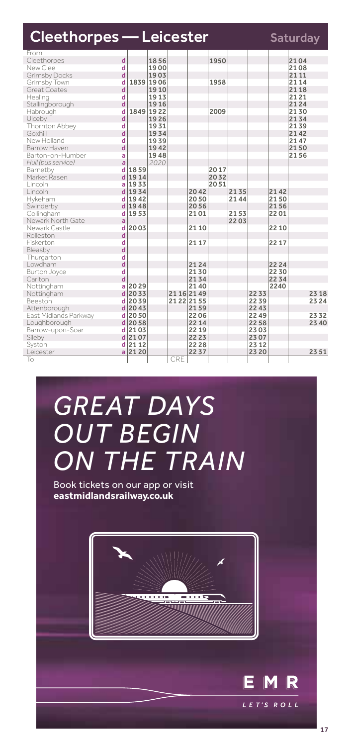| <b>Cleethorpes - Leicester</b> |                         |          |                   |             |       |  |      |      |       |       | <b>Saturday</b> |       |
|--------------------------------|-------------------------|----------|-------------------|-------------|-------|--|------|------|-------|-------|-----------------|-------|
| From                           |                         |          |                   |             |       |  |      |      |       |       |                 |       |
| Cleethorpes                    | $\overline{\mathsf{d}}$ |          | 1856              |             |       |  | 1950 |      |       |       | 2104            |       |
| New Clee                       | d                       |          | 1900              |             |       |  |      |      |       |       | 2108            |       |
| <b>Grimsby Docks</b>           | d                       |          | 1903              |             |       |  |      |      |       |       | 21 11           |       |
| Grimsby Town<br>Great Coates   | d<br>d                  |          | 1839 1906<br>1910 |             |       |  | 1958 |      |       |       | 21 14<br>2118   |       |
|                                | d                       |          |                   |             |       |  |      |      |       |       | 2121            |       |
| Healing                        | d                       |          | 1913<br>1916      |             |       |  |      |      |       |       | 2124            |       |
| Stallingborough                | d                       |          | 1849 1922         |             |       |  | 2009 |      |       |       | 2130            |       |
| Habrough<br>Ulceby             | d                       |          | 1926              |             |       |  |      |      |       |       | 2134            |       |
|                                | d                       |          | 1931              |             |       |  |      |      |       |       | 2139            |       |
| Thornton Abbey<br>Goxhill      | d                       |          | 1934              |             |       |  |      |      |       |       | 2142            |       |
| New Holland                    | d                       |          | 1939              |             |       |  |      |      |       |       | 2147            |       |
| Barrow Haven                   | d                       |          | 1942              |             |       |  |      |      |       |       | 2150            |       |
| Barton-on-Humber               | a                       |          | 1948              |             |       |  |      |      |       |       | 2156            |       |
| Hull (bus service)             | a                       |          | 2020              |             |       |  |      |      |       |       |                 |       |
| Barnetby                       | d                       | 1859     |                   |             |       |  | 2017 |      |       |       |                 |       |
| Market Rasen                   | d                       | 1914     |                   |             |       |  | 2032 |      |       |       |                 |       |
| Lincoln                        | a                       | 1933     |                   |             |       |  | 2051 |      |       |       |                 |       |
| Lincoln                        | d                       | 1934     |                   |             | 2042  |  |      | 2135 |       | 2142  |                 |       |
| Hykeham                        | d                       | 1942     |                   |             | 2050  |  |      | 2144 |       | 2150  |                 |       |
| Swinderby                      | d                       | 1948     |                   |             | 2056  |  |      |      |       | 2156  |                 |       |
| Collingham                     | d                       | 1953     |                   |             | 2101  |  |      | 2153 |       | 2201  |                 |       |
| Newark North Gate              | a                       |          |                   |             |       |  |      | 2203 |       |       |                 |       |
| Newark Castle                  | d                       | 2003     |                   |             | 21 10 |  |      |      |       | 22 10 |                 |       |
| Rolleston                      | d                       |          |                   |             |       |  |      |      |       |       |                 |       |
| Fiskerton                      | d                       |          |                   |             | 21 17 |  |      |      |       | 22 17 |                 |       |
| Bleasby                        | d                       |          |                   |             |       |  |      |      |       |       |                 |       |
| Thurgarton                     | d                       |          |                   |             |       |  |      |      |       |       |                 |       |
| Lowdham                        | d                       |          |                   |             | 2124  |  |      |      |       | 22 24 |                 |       |
| Burton Joyce                   | d                       |          |                   |             | 2130  |  |      |      |       | 22 30 |                 |       |
| Carlton                        | d                       |          |                   |             | 2134  |  |      |      |       | 2234  |                 |       |
| Nottingham                     | ă                       | 2029     |                   |             | 2140  |  |      |      |       | 2240  |                 |       |
| Nottingham                     | d                       | 2033     |                   | 21 16 21 49 |       |  |      |      | 2233  |       |                 | 23 18 |
| Beeston                        | d                       | 2039     |                   | 21 22 21 55 |       |  |      |      | 2239  |       |                 | 23 24 |
| Attenborough                   | d                       | 2043     |                   |             | 2159  |  |      |      | 22 43 |       |                 |       |
| East Midlands Parkway          | d                       | 2050     |                   |             | 2206  |  |      |      | 2249  |       |                 | 2332  |
| Loughborough                   | d                       | 2058     |                   |             | 22 14 |  |      |      | 2258  |       |                 | 23 40 |
| Barrow-upon-Soar               | d                       | 2103     |                   |             | 22 19 |  |      |      | 2303  |       |                 |       |
| Sileby                         |                         | $d$ 2107 |                   |             | 22 23 |  |      |      | 2307  |       |                 |       |
| Syston                         | d                       | 2112     |                   |             | 22 28 |  |      |      | 23 12 |       |                 |       |
| Leicester                      | a                       | 2120     |                   |             | 2237  |  |      |      | 23 20 |       |                 | 2351  |
| To                             |                         |          |                   | CRE         |       |  |      |      |       |       |                 |       |

# *GREAT DAYS OUT BEGIN ON THE TRAIN*

Book tickets on our app or visit **eastmidlandsrailway.co.uk**



E M

LET'S ROLL

R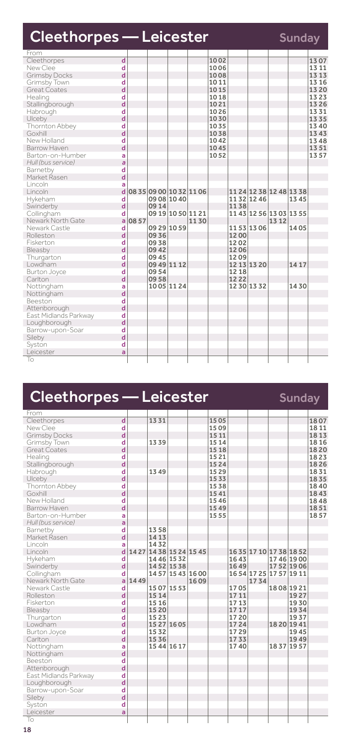| <b>Cleethorpes - Leicester</b>         |                         |      | <b>Sunday</b>       |                   |                         |              |             |                         |       |       |               |
|----------------------------------------|-------------------------|------|---------------------|-------------------|-------------------------|--------------|-------------|-------------------------|-------|-------|---------------|
| From                                   |                         |      |                     |                   |                         |              |             |                         |       |       |               |
| Cleethorpes                            | d                       |      |                     |                   |                         | 1002         |             |                         |       |       | 1307          |
| New Clee                               | d<br>d                  |      |                     |                   |                         | 1006<br>1008 |             |                         |       |       | 13 11<br>1313 |
| <b>Grimsby Docks</b>                   |                         |      |                     |                   |                         |              |             |                         |       |       |               |
| Grimsby Town<br>Great Coates           | d<br>d                  |      |                     |                   |                         | 10 11        |             |                         |       |       | 13 16<br>1320 |
|                                        | d                       |      |                     |                   |                         | 1015         |             |                         |       |       | 1323          |
| Healing                                | d                       |      |                     |                   |                         | 1018<br>1021 |             |                         |       |       | 1326          |
| Stallingborough                        |                         |      |                     |                   |                         | 1026         |             |                         |       |       | 1331          |
| Habrough<br>Ulceby                     | d<br>d                  |      |                     |                   |                         | 1030         |             |                         |       |       | 1335          |
| Thornton Abbey                         | d                       |      |                     |                   |                         | 1035         |             |                         |       |       | 13 40         |
| Goxhill                                | d                       |      |                     |                   |                         | 1038         |             |                         |       |       | 1343          |
| New Holland                            | d                       |      |                     |                   |                         |              |             |                         |       |       | 1348          |
| Barrow Haven                           | d                       |      |                     |                   |                         | 1042<br>1045 |             |                         |       |       | 1351          |
|                                        |                         |      |                     |                   |                         |              |             |                         |       |       | 1357          |
| Barton-on-Humber<br>Hull (bus service) | a<br>$\overline{a}$     |      |                     |                   |                         | 1052         |             |                         |       |       |               |
| Barnetby                               | d                       |      |                     |                   |                         |              |             |                         |       |       |               |
| Market Rasen                           | d                       |      |                     |                   |                         |              |             |                         |       |       |               |
|                                        |                         |      |                     |                   |                         |              |             |                         |       |       |               |
| Lincoln                                | a<br>ď                  |      |                     |                   | 08 35 09 00 10 32 11 06 |              |             | 11 24 12 38 12 48 13 38 |       |       |               |
| Lincoln                                |                         |      |                     |                   |                         |              |             |                         |       |       |               |
| Hykeham                                | d<br>d                  |      | 09 08 10 40<br>0914 |                   |                         |              | 1132 1246   |                         |       | 1345  |               |
| Swinderby                              |                         |      |                     |                   |                         |              | 1138        |                         |       |       |               |
| Collingham                             | d<br>a                  |      |                     | 09 19 10 50 11 21 |                         |              |             | 11 43 12 56 13 03 13 55 |       |       |               |
| Newark North Gate                      |                         | 0857 |                     |                   | 1130                    |              |             |                         | 13 12 |       |               |
| Newark Castle                          | d<br>d                  |      | 09 29 10 59         |                   |                         |              | 1153 1306   |                         |       | 1405  |               |
| Rolleston                              |                         |      | 0936                |                   |                         |              | 1200        |                         |       |       |               |
| Fiskerton                              | d<br>d                  |      | 0938                |                   |                         |              | 1202        |                         |       |       |               |
| Bleasby                                |                         |      | 0942                |                   |                         |              | 1206        |                         |       |       |               |
| Thurgarton                             | d<br>d                  |      | 0945                |                   |                         |              | 1209        |                         |       |       |               |
| Lowdham                                |                         |      | 09 49 11 12         |                   |                         |              | 12 13 13 20 |                         |       | 14 17 |               |
| Burton Joyce                           | d                       |      | 0954                |                   |                         |              | 12 18       |                         |       |       |               |
| Carlton                                | d                       |      | 0958                |                   |                         |              | 1222        |                         |       |       |               |
| Nottingham                             | a                       |      | 1005 1124           |                   |                         |              | 1230 1332   |                         |       | 1430  |               |
| Nottingham                             | $\overline{\mathsf{d}}$ |      |                     |                   |                         |              |             |                         |       |       |               |
| Beeston                                | d                       |      |                     |                   |                         |              |             |                         |       |       |               |
| Attenborough                           | d                       |      |                     |                   |                         |              |             |                         |       |       |               |
| East Midlands Parkway                  | d                       |      |                     |                   |                         |              |             |                         |       |       |               |
| Loughborough                           | d                       |      |                     |                   |                         |              |             |                         |       |       |               |
| Barrow-upon-Soar                       | d                       |      |                     |                   |                         |              |             |                         |       |       |               |
| Sileby                                 | d                       |      |                     |                   |                         |              |             |                         |       |       |               |
| Syston                                 | d                       |      |                     |                   |                         |              |             |                         |       |       |               |
| Leicester                              | a                       |      |                     |                   |                         |              |             |                         |       |       |               |
| To                                     |                         |      |                     |                   |                         |              |             |                         |       |       |               |

| Cleethorpes — Leicester |              |  |      |           |                         |       |      | <b>Sunday</b> |                     |      |  |
|-------------------------|--------------|--|------|-----------|-------------------------|-------|------|---------------|---------------------|------|--|
| From                    |              |  |      |           |                         |       |      |               |                     |      |  |
| Cleethorpes             | d            |  | 1331 |           |                         | 1505  |      |               |                     | 1807 |  |
| New Clee                | d            |  |      |           |                         | 1509  |      |               |                     | 1811 |  |
| <b>Grimsby Docks</b>    | d            |  |      |           |                         | 15 11 |      |               |                     | 1813 |  |
| Grimsby Town            | d            |  | 1339 |           |                         | 15 14 |      |               |                     | 1816 |  |
| Great Coates            | d            |  |      |           |                         | 1518  |      |               |                     | 1820 |  |
| Healing                 | d            |  |      |           |                         | 15 21 |      |               |                     | 1823 |  |
| Stallingborough         | d            |  |      |           |                         | 1524  |      |               |                     | 1826 |  |
| Habrough                | d            |  | 1349 |           |                         | 1529  |      |               |                     | 1831 |  |
| Ulceby                  | d            |  |      |           |                         | 1533  |      |               |                     | 1835 |  |
| Thornton Abbey          | d            |  |      |           |                         | 1538  |      |               |                     | 1840 |  |
| Goxhill                 | d            |  |      |           |                         | 1541  |      |               |                     | 1843 |  |
| New Holland             | d            |  |      |           |                         | 1546  |      |               |                     | 1848 |  |
| Barrow Haven            | d            |  |      |           |                         | 1549  |      |               |                     | 1851 |  |
| Barton-on-Humber        | a            |  |      |           |                         | 1555  |      |               |                     | 1857 |  |
| Hull (bus service)      | a            |  |      |           |                         |       |      |               |                     |      |  |
| Barnetby                | d            |  | 1358 |           |                         |       |      |               |                     |      |  |
| Market Rasen            | d            |  | 1413 |           |                         |       |      |               |                     |      |  |
| Lincoln                 | a            |  | 1432 |           |                         |       |      |               |                     |      |  |
| Lincoln                 | $\mathbf{d}$ |  |      |           | 14 27 14 38 15 24 15 45 |       |      |               | 1635 1710 1738 1852 |      |  |
| Hykeham                 | d            |  |      | 1446 1532 |                         |       | 1643 |               | 1746 1900           |      |  |
| Swinderby               | d            |  |      | 1452 1538 |                         |       | 1649 |               | 17 52 19 06         |      |  |
| Collingham              | d            |  |      |           | 145715431600            |       |      |               | 1654 1725 1757 1911 |      |  |

| Barnetby              | d |      | 1358        |           |                         |      |      |                         |      |  |
|-----------------------|---|------|-------------|-----------|-------------------------|------|------|-------------------------|------|--|
| Market Rasen          | d |      | 1413        |           |                         |      |      |                         |      |  |
| Lincoln               | a |      | 1432        |           |                         |      |      |                         |      |  |
| Lincoln               | d |      |             |           | 14 27 14 38 15 24 15 45 |      |      | 1635 1710 1738 1852     |      |  |
| Hykeham               | d |      |             | 1446 1532 |                         | 1643 |      | 1746 1900               |      |  |
| Swinderby             | d |      |             | 1452 1538 |                         | 1649 |      | 17 52 19 06             |      |  |
| Collingham            | d |      |             |           | 14 57 15 43 16 00       |      |      | 16 54 17 25 17 57 19 11 |      |  |
| Newark North Gate     | a | 1449 |             |           | 1609                    |      | 1734 |                         |      |  |
| Newark Castle         | d |      | 15 07 15 53 |           |                         | 1705 |      | 1808 1921               |      |  |
| Rolleston             | d |      | 1514        |           |                         | 1711 |      |                         | 1927 |  |
| Fiskerton             | d |      | 1516        |           |                         | 1713 |      |                         | 1930 |  |
| Bleasby               | d |      | 1520        |           |                         | 1717 |      |                         | 1934 |  |
| Thurgarton            | d |      | 1523        |           |                         | 1720 |      |                         | 1937 |  |
| Lowdham               | d |      | 15 27 16 05 |           |                         | 1724 |      | 18 20 19 41             |      |  |
| Burton Joyce          | d |      | 1532        |           |                         | 1729 |      |                         | 1945 |  |
| Carlton               | d |      | 1536        |           |                         | 1733 |      |                         | 1949 |  |
| Nottingham            | a |      | 1544 1617   |           |                         | 1740 |      | 18 37 19 57             |      |  |
| Nottingham            | d |      |             |           |                         |      |      |                         |      |  |
| Beeston               | d |      |             |           |                         |      |      |                         |      |  |
| Attenborough          | d |      |             |           |                         |      |      |                         |      |  |
| East Midlands Parkway | d |      |             |           |                         |      |      |                         |      |  |
| Loughborough          | d |      |             |           |                         |      |      |                         |      |  |
| Barrow-upon-Soar      | d |      |             |           |                         |      |      |                         |      |  |
| Sileby                | d |      |             |           |                         |      |      |                         |      |  |
| Syston                | d |      |             |           |                         |      |      |                         |      |  |
| Leicester             | a |      |             |           |                         |      |      |                         |      |  |
| To                    |   |      |             |           |                         |      |      |                         |      |  |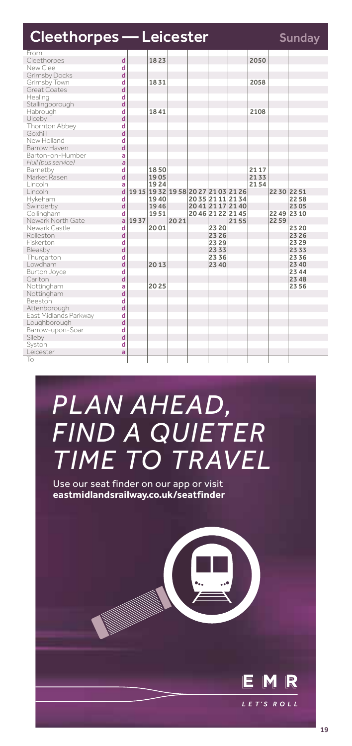| <b>Cleethorpes - Leicester</b> |                         |      |      |      |                   |                                     |      |             | <b>Sunday</b> |  |
|--------------------------------|-------------------------|------|------|------|-------------------|-------------------------------------|------|-------------|---------------|--|
| From                           |                         |      |      |      |                   |                                     |      |             |               |  |
| Cleethorpes                    | $\overline{\mathsf{d}}$ |      | 1823 |      |                   |                                     | 2050 |             |               |  |
| New Clee                       | d                       |      |      |      |                   |                                     |      |             |               |  |
| <b>Grimsby Docks</b>           | d                       |      |      |      |                   |                                     |      |             |               |  |
| Grimsby Town                   | d                       |      | 1831 |      |                   |                                     | 2058 |             |               |  |
| <b>Great Coates</b>            | d                       |      |      |      |                   |                                     |      |             |               |  |
| Healing                        | d                       |      |      |      |                   |                                     |      |             |               |  |
| Stallingborough                | d                       |      |      |      |                   |                                     |      |             |               |  |
| Habrough                       | d                       |      | 1841 |      |                   |                                     | 2108 |             |               |  |
| Ulceby                         | d                       |      |      |      |                   |                                     |      |             |               |  |
| Thornton Abbey                 | d                       |      |      |      |                   |                                     |      |             |               |  |
| Goxhill                        | d                       |      |      |      |                   |                                     |      |             |               |  |
| New Holland                    | d                       |      |      |      |                   |                                     |      |             |               |  |
| Barrow Haven                   | d                       |      |      |      |                   |                                     |      |             |               |  |
| Barton-on-Humber               | a                       |      |      |      |                   |                                     |      |             |               |  |
| Hull (bus service)             | a                       |      |      |      |                   |                                     |      |             |               |  |
| Barnetby                       | d                       |      | 1850 |      |                   |                                     | 2117 |             |               |  |
| Market Rasen                   | d                       |      | 1905 |      |                   |                                     | 2133 |             |               |  |
| Lincoln                        | ă                       |      | 1924 |      |                   |                                     | 2154 |             |               |  |
| Lincoln                        | d                       |      |      |      |                   | 19 15 19 32 19 58 20 27 21 03 21 26 |      | 22 30 22 51 |               |  |
| Hykeham                        | d                       |      | 1940 |      | 2035 2111 2134    |                                     |      |             | 2258          |  |
| Swinderby                      | d                       |      | 1946 |      | 20 41 21 17 21 40 |                                     |      |             | 2305          |  |
| Collingham                     | d                       |      | 1951 |      | 20 46 21 22 21 45 |                                     |      | 22 49 23 10 |               |  |
| Newark North Gate              | a                       | 1937 |      | 2021 |                   | 2155                                |      | 2259        |               |  |
| Newark Castle                  | d                       |      | 2001 |      | 23 20             |                                     |      |             | 23 20         |  |
| Rolleston                      | d                       |      |      |      | 23 26             |                                     |      |             | 2326          |  |
| Fiskerton                      | d                       |      |      |      | 23 29             |                                     |      |             | 2329          |  |
| Bleasby                        | d                       |      |      |      | 2333              |                                     |      |             | 2333          |  |
| Thurgarton                     | d                       |      |      |      | 2336              |                                     |      |             | 2336          |  |
| Lowdham                        | $\overline{\mathbf{d}}$ |      | 2013 |      | 23 40             |                                     |      |             | 23 40         |  |
| Burton Joyce                   | d                       |      |      |      |                   |                                     |      |             | 23 44         |  |
| Carlton                        | d                       |      |      |      |                   |                                     |      |             | 23 48         |  |
| Nottingham                     | ă                       |      | 2025 |      |                   |                                     |      |             | 2356          |  |
| Nottingham                     | d                       |      |      |      |                   |                                     |      |             |               |  |
| Beeston                        | d                       |      |      |      |                   |                                     |      |             |               |  |
| Attenborough                   | d                       |      |      |      |                   |                                     |      |             |               |  |
| East Midlands Parkway          | d                       |      |      |      |                   |                                     |      |             |               |  |
| Loughborough                   | d                       |      |      |      |                   |                                     |      |             |               |  |
| Barrow-upon-Soar               | d                       |      |      |      |                   |                                     |      |             |               |  |
| Sileby                         | d                       |      |      |      |                   |                                     |      |             |               |  |
| Syston                         | d                       |      |      |      |                   |                                     |      |             |               |  |
| Leicester                      | ă                       |      |      |      |                   |                                     |      |             |               |  |
| To                             |                         |      |      |      |                   |                                     |      |             |               |  |
|                                |                         |      |      |      |                   |                                     |      |             |               |  |

## *PLAN AHEAD, FIND A QUIETER TIME TO TRAVEL*

Use our seat finder on our app or visit **eastmidlandsrailway.co.uk/seatfinder**